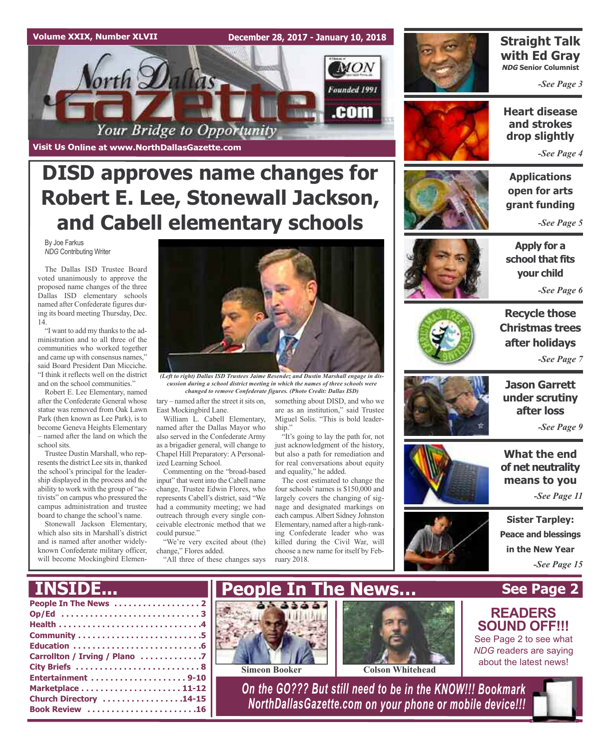### **Volume XXIX, Number XLVII**

**December 28, 2017 - January 10, 2018**



**Visit Us Online at www.NorthDallasGazette.com**

## **DISD approves name changes for Robert E. Lee, Stonewall Jackson, and Cabell elementary schools**

By Joe Farkus *NDG* Contributing Writer

The Dallas ISD Trustee Board voted unanimously to approve the proposed name changes of the three Dallas ISD elementary schools named after Confederate figures during its board meeting Thursday, Dec. 14.

"I want to add my thanks to the administration and to all three of the communities who worked together and came up with consensus names," said Board President Dan Micciche. "I think it reflects well on the district and on the school communities."

Robert E. Lee Elementary, named after the Confederate General whose statue was removed from Oak Lawn Park (then known as Lee Park), is to become Geneva Heights Elementary – named after the land on which the school sits.

Trustee Dustin Marshall, who represents the district Lee sits in, thanked the school's principal for the leadership displayed in the process and the ability to work with the group of "activists" on campus who pressured the campus administration and trustee board to change the school's name.

Stonewall Jackson Elementary, which also sits in Marshall's district and is named after another widelyknown Confederate military officer, will become Mockingbird Elemen-

**INSIDE...**



*(Left to right) Dallas ISD Trustees Jaime Resendez and Dustin Marshall engage in discussion during a school district meeting in which the names of three schools were changed to remove Confederate figures. (Photo Credit: Dallas ISD)*

ship."

something about DISD, and who we are as an institution," said Trustee Miguel Solis. "This is bold leader-

"It's going to lay the path for, not just acknowledgment of the history, but also a path for remediation and for real conversations about equity

The cost estimated to change the four schools' names is \$150,000 and largely covers the changing of signage and designated markings on each campus.Albert Sidney Johnston Elementary, named after a high-ranking Confederate leader who was killed during the Civil War, will choose a new name for itself by Feb-

and equality," he added.

 $tary$  – named after the street it sits on, East Mockingbird Lane.

William L. Cabell Elementary, named after the Dallas Mayor who also served in the Confederate Army as a brigadier general, will change to Chapel Hill Preparatory: A Personalized Learning School.

Commenting on the "broad-based input" that went into the Cabell name change, Trustee Edwin Flores, who represents Cabell's district, said "We had a community meeting; we had outreach through every single conceivable electronic method that we could pursue."

"We're very excited about (the) change," Flores added.

"All three of these changes says ruary 2018.



### **Straight Talk with Ed Gray NDG Senior Columnist**

*-See Page 3*



**Heart disease and strokes drop slightly**

*-See Page 4*

**Applications open for arts grant funding**

*-See Page 5*



**Apply for a school that fits your child**

*-See Page 6*



**Recycle those Christmas trees after holidays** *-See Page 7*



**Jason Garrett under scrutiny after loss**

*-See Page 9*

**What the end of net neutrality means to you**

*-See Page 11*

**Sister Tarpley: Peace and blessings in the New Year** *-See Page 15*

**See Page 2**

**READERS SOUND OFF!!!** See Page 2 to see what *NDG* readers are saying about the latest news!

## **People In The News . . . . . . . . . . . . . . . . . . 2 People In The News…**







**Simeon Booker Colson Whitehead** 

*On the GO??? But still need to be in the KNOW!!! Bookmark NorthDallasGazette.com on your phone or mobile device!!!*

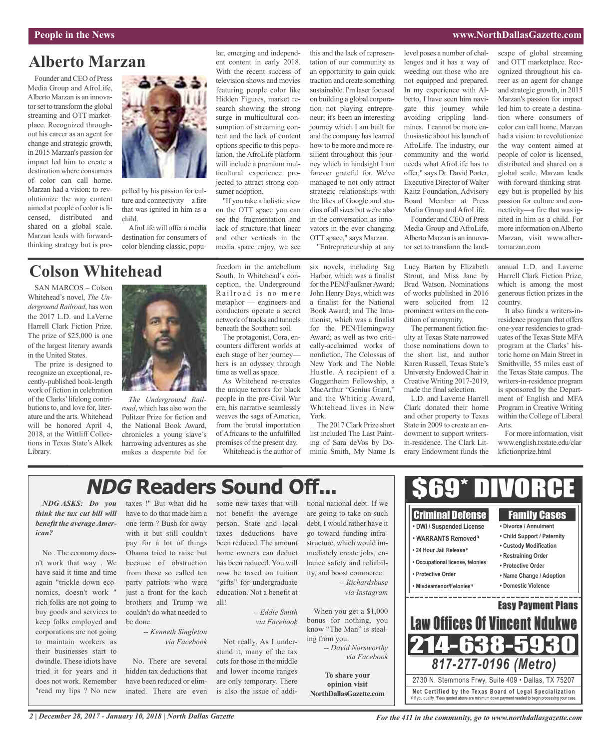#### **People in the News www.NorthDallasGazette.com**

scape of global streaming and OTT marketplace. Recognized throughout his career as an agent for change and strategic growth, in 2015 Marzan's passion for impact led him to create a destination where consumers of color can call home. Marzan

### **Alberto Marzan**

Founder and CEO of Press Media Group and AfroLife, Alberto Marzan is an innovator set to transform the global streaming and OTT marketplace. Recognized throughout his career as an agent for change and strategic growth, in 2015 Marzan's passion for impact led him to create a destination where consumers of color can call home. Marzan had a vision: to revolutionize the way content aimed at people of color is licensed, distributed and shared on a global scale. Marzan leads with forwardthinking strategy but is pro-



pelled by his passion for culture and connectivity—a fire that was ignited in him as a child.

AfroLife will offer a media destination for consumers of color blending classic, popular, emerging and independent content in early 2018. With the recent success of television shows and movies featuring people color like Hidden Figures, market research showing the strong surge in multicultural consumption of streaming content and the lack of content optionsspecific to this population, the AfroLife platform will include a premium multicultural experience projected to attract strong consumer adoption.

"If you take a holistic view on the OTT space you can see the fragmentation and lack of structure that linear and other verticals in the media space enjoy, we see

this and the lack of representation of our community as an opportunity to gain quick traction and create something sustainable. I'm laser focused on building a global corporation not playing entrepreneur; it's been an interesting journey which I am built for and the company has learned how to be more and more resilient throughout this journey which in hindsight I am forever grateful for. We've managed to not only attract strategic relationships with the likes of Google and studios of allsizes but we're also in the conversation as innovators in the ever changing OTT space," says Marzan.

"Entrepreneurship at any

level poses a number of challenges and it has a way of weeding out those who are not equipped and prepared. In my experience with Alberto, I have seen him navigate this journey while avoiding crippling landmines. I cannot be more enthusiastic about hislaunch of AfroLife. The industry, our community and the world needs what AfroLife has to offer," says Dr. David Porter, Executive Director of Walter Kaitz Foundation, Advisory Board Member at Press Media Group and AfroLife. Founder and CEO of Press

Media Group and AfroLife, Alberto Marzan is an innovator set to transform the landhad a vision: to revolutionize the way content aimed at people of color is licensed, distributed and shared on a global scale. Marzan leads with forward-thinking strategy but is propelled by his passion for culture and connectivity—a fire that was ignited in him as a child. For more information on Alberto Marzan, visit www.albertomarzan.com

### **Colson Whitehead**

SAN MARCOS – Colson Whitehead's novel, *The Underground Railroad*, has won the 2017 L.D. and LaVerne Harrell Clark Fiction Prize. The prize of \$25,000 is one of the largest literary awards in the United States.

The prize is designed to recognize an exceptional, recently-published book-length work of fiction in celebration of the Clarks'lifelong contributionsto, and love for, literature and the arts. Whitehead will be honored April 4, 2018, at the Wittliff Collections in Texas State's Alkek Library.



*The Underground Railroad*, which has also won the Pulitzer Prize for fiction and the National Book Award, chronicles a young slave's harrowing adventures as she makes a desperate bid for freedom in the antebellum South. In Whitehead's conception, the Underground Railroad is no mere metaphor — engineers and conductors operate a secret network of tracks and tunnels beneath the Southern soil.

The protagonist, Cora, encounters different worlds at each stage of her journey hers is an odyssey through time as well as space.

As Whitehead re-creates the unique terrors for black people in the pre-Civil War era, his narrative seamlessly weaves the saga of America, from the brutal importation of Africans to the unfulfilled promises of the present day. Whitehead is the author of

six novels, including Sag Harbor, which was a finalist for the PEN/Faulkner Award; John Henry Days, which was a finalist for the National Book Award; and The Intuitionist, which was a finalist for the PEN/Hemingway Award; as well as two critically-acclaimed works of nonfiction, The Colossus of New York and The Noble Hustle. A recipient of a Guggenheim Fellowship, a MacArthur "Genius Grant," and the Whiting Award, Whitehead lives in New York.

The 2017 Clark Prize short list included The Last Painting of Sara deVos by Dominic Smith, My Name Is

Lucy Barton by Elizabeth Strout, and Miss Jane by Brad Watson. Nominations of works published in 2016 were solicited from 12 prominent writers on the condition of anonymity.

The permanent fiction faculty at Texas State narrowed those nominations down to the short list, and author Karen Russell, Texas State's University Endowed Chair in Creative Writing 2017-2019, made the final selection.

L.D. and Laverne Harrell Clark donated their home and other property to Texas State in 2009 to create an endowment to support writersin-residence. The Clark Literary Endowment funds the annual L.D. and Laverne Harrell Clark Fiction Prize, which is among the most generous fiction prizes in the country.

It also funds a writers-inresidence program that offers one-year residencies to graduates of the Texas State MFA program at the Clarks' historic home on Main Street in Smithville, 55 miles east of the Texas State campus. The writers-in-residence program is sponsored by the Department of English and MFA Program in Creative Writing within the College of Liberal Arts.

For more information, visit www.english.txstate.edu/clar kfictionprize.html

#### \$69\* DIVORCE **NDG Readers Sound Off...***NDG ASKS: Do you* tional national debt. If we taxes !" But what did he some new taxes that will have to do that made him a not benefit the average are going to take on such Criminal Defense Family Cases one term ? Bush for away person. State and local debt, I would rather have it **• DWI / Suspended License • Divorce / Annulment** with it but still couldn't taxes deductions have go toward funding infra-**• Child Support / Paternity • WARRANTS Removed ¥** pay for a lot of things been reduced. The amount structure, which would im-**• Custody Modification • 24 Hour Jail Release ¥** No . The economy does-Obama tried to raise but home owners can deduct mediately create jobs, en-**• Restraining Order** because of obstruction has been reduced. You will hance safety and reliabil-**• Occupational license, felonies • Protective Order** from those so called tea now be taxed on tuition ity, and boost commerce. **• Protective Order • Name Change / Adoption** party patriots who were "gifts" for undergraduate *-- Richardsbuse* **• Misdeamenor/Felonies ¥ • Domestic Violence** just a front for the koch education. Not a benefit at *via Instagram* \_\_\_\_\_\_\_\_\_\_\_\_ brothers and Trump we all! Easy Payment Plans When you get a \$1,000 couldn't do what needed to *-- Eddie Smith* Law Offices Of Vincent Ndukwe bonus for nothing, you be done. *via Facebook* know "The Man" is steal-*-- Kenneth Singleton* ing from you. *via Facebook* Not really. As I under-214-638-5 *-- David Norsworthy* stand it, many of the tax *via Facebook* No. There are several cuts for those in the middle *817-277-0196 (Metro)* tried it for years and it hidden tax deductions that and lower income ranges **To share your** 2730 N. Stemmons Frwy, Suite 409 • Dallas, TX 75207 have been reduced or elimare only temporary. There **opinion visit** inated. There are even is also the issue of addi-**Not Ce rtified by the Te x a s Boa rd of Lega l Spe c ia l i za tion NorthDallasGazette.com** ¥ If you qualify. \*Fees quoted above are minimum down payment needed to begin processing your case.

*think the tax cut bill will benefit the average American?*

n't work that way . We have said it time and time again "trickle down economics, doesn't work " rich folks are not going to buy goods and services to keep folks employed and corporations are not going to maintain workers as their businesses start to dwindle. These idiots have does not work. Remember "read my lips ? No new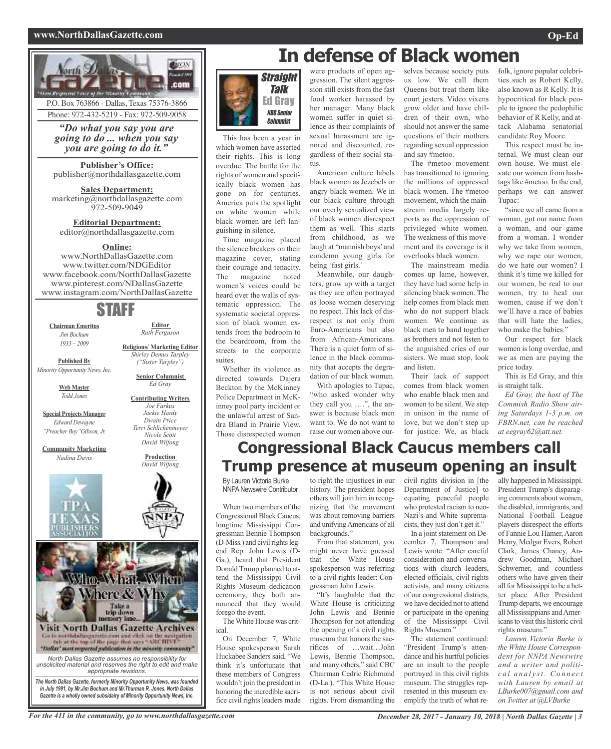#### **www.NorthDallasGazette.com Op-Ed**



*"Do what you say you are* Phone: 972-432-5219 - Fax: 972-509-9058

*going to do ... when you say you are going to do it."*

**Publisher's Office:** publisher@northdallasgazette.com

**Sales Department:** marketing@northdallasgazette.com 972-509-9049

**Editorial Department:** editor@northdallasgazette.com

### **Online:**

www.NorthDallasGazette.com www.twitter.com/NDGEditor www.facebook.com/NorthDallasGazette www.pinterest.com/NDallasGazette www.instagram.com/NorthDallasGazette

### STAFF

**Chairman Emeritus** *Jim Bochum 1933 – 2009*

**Editor** *Ruth Ferguson*

**Religious/ Marketing Editor** *Shirley Demus Tarpley*

**Published By**

*Minority Opportunity News, Inc.*

**Web Master** *Todd Jones*

**Special Projects Manager** *Edward Dewayne "Preacher Boy"Gibson, Jr.*

**Community Marketing** *Nadina Davis*







*The North Dallas Gazette, formerly Minority Opportunity News, was founded in July 1991, by Mr.Jim Bochum and Mr.Thurman R. Jones. North Dallas Gazette is a wholly owned subsidairy of Minority Opportunity News, Inc.*



This has been a year in which women have asserted their rights. This is long overdue. The battle for the rights of women and specifically black women has gone on for centuries. America puts the spotlight on white women while black women are left languishing in silence.

Time magazine placed the silence breakers on their magazine cover, stating their courage and tenacity. The magazine noted women's voices could be heard over the walls of systematic oppression. The systematic societal oppression of black women extends from the bedroom to the boardroom, from the streets to the corporate suites.

Whether its violence as directed towards Dajera Beckton by the McKinney Police Department in McKinney pool party incident or the unlawful arrest of Sandra Bland in Prairie View. Those disrespected women were products of open aggression. The silent aggression still exists from the fast food worker harassed by her manager. Many black women suffer in quiet silence as their complaints of sexual harassment are ignored and discounted, regardless of their social status.

American culture labels black women as Jezebels or angry black women. We in our black culture through our overly sexualized view of black women disrespect them as well. This starts from childhood, as we laugh at "mannish boys' and condemn young girls for being 'fast girls.'

Meanwhile, our daughters, grow up with a target as they are often portrayed as loose women deserving no respect. This lack of disrespect is not only from Euro-Americans but also from African-Americans. There is a quiet form of silence in the black community that accepts the degradation of our black women. With apologies to Tupac,

"who asked wonder why they call you ….", the answer is because black men want to. We do not want to raise our women above ourselves because society puts us low. We call them Queens but treat them like court jesters. Video vixens grow older and have children of their own, who should not answer the same questions of their mothers regarding sexual oppression and say #metoo.

The #metoo movement has transitioned to ignoring the millions of oppressed black women. The #metoo movement, which the mainstream media largely reports as the oppression of privileged white women. The weakness of this movement and its coverage is it overlooks black women.

The mainstream media comes up lame, however, they have had some help in silencing black women. The help comes from black men who do not support black women. We continue as black men to band together as brothers and not listen to the anguished cries of our sisters. We must stop, look and listen.

Their lack of support comes from black women who enable black men and women to be silent. We step in unison in the name of love, but we don't step up for justice. We, as black

folk, ignore popular celebrities such as Robert Kelly, also known as R Kelly. It is hypocritical for black people to ignore the pedophilic behavior of R Kelly, and attack Alabama senatorial candidate Roy Moore.

This respect must be internal. We must clean our own house. We must elevate our women from hashtags like #metoo. In the end, perhaps we can answer Tupac:

"since we all came from a woman, got our name from a woman, and our game from a woman. I wonder why we take from women, why we rape our women, do we hate our women? I think it's time we killed for our women, be real to our women, try to heal our women, cause if we don't we'll have a race of babies that will hate the ladies, who make the babies."

Our respect for black women is long overdue, and we as men are paying the price today.

This is Ed Gray, and this is straight talk.

*Ed Gray, the host of The Commish Radio Show airing Saturdays 1-3 p.m. on FBRN.net, can be reached at eegray62@att.net.*

### **Congressional Black Caucus members call Trump presence at museum opening an insult**

By Lauren Victoria Burke **NNPA Newswire Contributor** 

When two members of the Congressional Black Caucus, longtime Mississippi Congressman Bennie Thompson  $(D-Miss.)$  and civil rights legend Rep. John Lewis (D-Ga.), heard that President Donald Trump planned to attend the Mississippi Civil Rights Museum dedication ceremony, they both announced that they would forego the event.

TheWhite House was critical.

On December 7, White House spokesperson Sarah Huckabee Sanders said, "We think it's unfortunate that these members of Congress wouldn't join the president in honoring the incredible sacrifice civil rights leaders made

to right the injustices in our history. The president hopes others will join him in recognizing that the movement was about removing barriers and unifyingAmericans of all backgrounds."

From that statement, you might never have guessed that the White House spokesperson was referring to a civil rights leader: Congressman John Lewis.

"It's laughable that the White House is criticizing John Lewis and Bennie Thompson for not attending the opening of a civil rights museum that honors the sacrifices of …wait…John Lewis, Bennie Thompson, and many others," said CBC Chairman Cedric Richmond (D-La.). "This White House is not serious about civil rights. From dismantling the

civil rights division in [the Department of Justice] to equating peaceful people who protested racism to neo-Nazi's and White supremacists, they just don't get it."

In a joint statement on December 7, Thompson and Lewis wrote: "After careful consideration and conversations with church leaders, elected officials, civil rights activists, and many citizens of our congressional districts, we have decided not to attend or participate in the opening of the Mississippi Civil Rights Museum."

The statement continued: "President Trump's attendance and his hurtful policies are an insult to the people portrayed in this civil rights museum. The struggles represented in this museum exemplify the truth of what really happened in Mississippi. President Trump's disparaging comments about women, the disabled, immigrants, and National Football League players disrespect the efforts of Fannie Lou Hamer, Aaron Henry, Medgar Evers, Robert Clark, James Chaney, Andrew Goodman, Michael Schwerner, and countless others who have given their all for Mississippi to be a better place. After President Trump departs, we encourage all Mississippians andAmericansto visit this historic civil rights museum."

*Lauren Victoria Burke is the White House Correspondent for NNPA Newswire and a writer and politic a l a n a l y st . Co n n e c t with Lauren by email at LBurke007@gmail.com and on Twitter at @LVBurke*

*("Sister Tarpley")* **Senior Columnist** *Ed Gray* **Contributing Writers** *Joe Farkus Jackie Hardy Dwain Price Terri Schlichenmeyer Nicole Scott David Wilfong* **Production** *David Wilfong*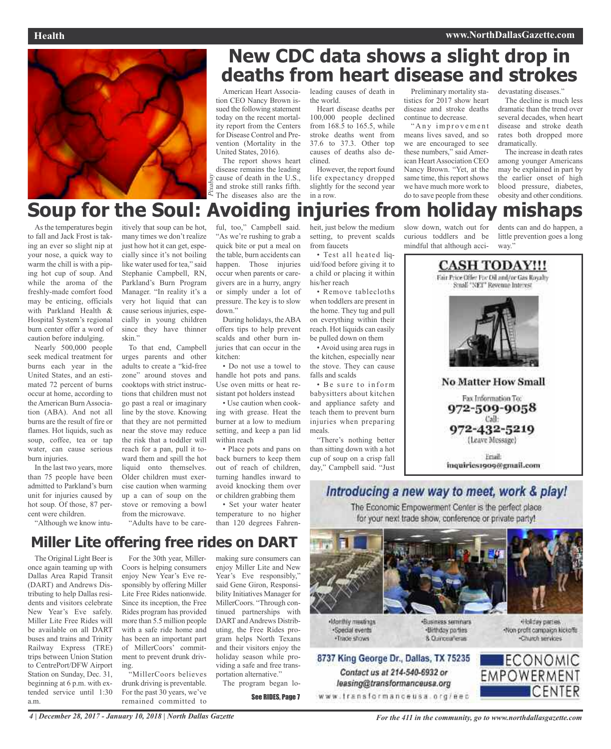

## **New CDC data shows a slight drop in deaths from heart disease and strokes**

American Heart Association CEO Nancy Brown issued the following statement today on the recent mortality report from the Centers for Disease Control and Prevention (Mortality in the United States, 2016).

 $\frac{2}{3}$  cause of death in the U.S.,<br>Example and stroke still ranks fifth.<br>A The diseases also are the The report shows heart disease remains the leading and stroke still ranks fifth. The diseases also are the leading causes of death in the world.

Heart disease deaths per 100,000 people declined from 168.5 to 165.5, while stroke deaths went from 37.6 to 37.3. Other top causes of deaths also declined.

However, the report found life expectancy dropped slightly for the second year in a row.

Preliminary mortality statistics for 2017 show heart disease and stroke deaths continue to decrease.

"Any improvement means lives saved, and so we are encouraged to see these numbers," said American Heart Association CEO Nancy Brown. "Yet, at the same time, this report shows we have much more work to do to save people from these

devastating diseases.'

The decline is much less dramatic than the trend over several decades, when heart disease and stroke death rates both dropped more dramatically.

The increase in death rates among younger Americans may be explained in part by the earlier onset of high blood pressure, diabetes, obesity and other conditions.

## **Soup for the Soul: Avoiding injuries from holiday mishaps**

As the temperatures begin to fall and Jack Frost is taking an ever so slight nip at your nose, a quick way to warm the chill is with a piping hot cup of soup. And while the aroma of the freshly-made comfort food may be enticing, officials with Parkland Health & Hospital System's regional burn center offer a word of caution before indulging.

Nearly 500,000 people seek medical treatment for burns each year in the United States, and an estimated 72 percent of burns occur at home, according to the American Burn Association (ABA). And not all burns are the result of fire or flames. Hot liquids, such as soup, coffee, tea or tap water, can cause serious burn injuries.

In the last two years, more than 75 people have been admitted to Parkland's burn unit for injuries caused by hot soup. Of those, 87 percent were children.

itively that soup can be hot, many times we don't realize just how hot it can get, especially since it's not boiling like water used for tea," said Stephanie Campbell, RN, Parkland's Burn Program Manager. "In reality it's a very hot liquid that can cause serious injuries, especially in young children since they have thinner skin."

To that end, Campbell urges parents and other adults to create a "kid-free zone" around stoves and cooktops with strict instructions that children must not go past a real or imaginary line by the stove. Knowing that they are not permitted near the stove may reduce the risk that a toddler will reach for a pan, pull it toward them and spill the hot liquid onto themselves. Older children must exercise caution when warming up a can of soup on the stove or removing a bowl from the microwave. "Adults have to be careful, too," Campbell said. "As we're rushing to grab a quick bite or put a meal on the table, burn accidents can happen. Those injuries occur when parents or caregivers are in a hurry, angry or simply under a lot of pressure. The key is to slow down."

During holidays, the ABA offers tips to help prevent scalds and other burn injuries that can occur in the kitchen:

• Do not use a towel to handle hot pots and pans. Use oven mitts or heat resistant pot holders instead

• Use caution when cooking with grease. Heat the burner at a low to medium setting, and keep a pan lid within reach

• Place pots and pans on back burners to keep them out of reach of children, turning handles inward to avoid knocking them over or children grabbing them

• Set your water heater temperature to no higher than 120 degrees Fahrenheit, just below the medium setting, to prevent scalds from faucets • Test all heated liq-

uid/food before giving it to a child or placing it within

his/her reach • Remove tablecloths when toddlers are present in the home. They tug and pull on everything within their reach. Hot liquids can easily be pulled down on them

• Avoid using area rugs in the kitchen, especially near the stove. They can cause falls and scalds

• Be sure to inform babysitters about kitchen and appliance safety and teach them to prevent burn injuries when preparing meals.

"There's nothing better than sitting down with a hot cup of soup on a crisp fall day," Campbell said. "Just slow down, watch out for curious toddlers and be mindful that although accidents can and do happen, a little prevention goes a long way."



Email: inquiries1909@gmail.com

### Introducing a new way to meet, work & play!

The Economic Empowerment Center is the perfect place for your next trade show, conference or private party!



**Monthly meetings** ·Special events ·Trade shows

·Business seminars ·Birthday parties 8 Currosafena

Holday parties. -Non-profit campaign kickoffs -Church services



"Although we know intu-

The Original Light Beer is For the 30th year, Miller-Coors is helping consumers making sure consumers can **Miller Lite offering free rides on DART**

once again teaming up with Dallas Area Rapid Transit (DART) and Andrews Distributing to help Dallas residents and visitors celebrate New Year's Eve safely. Miller Lite Free Rides will be available on all DART buses and trains and Trinity Railway Express (TRE) trips between Union Station to CentrePort/DFW Airport Station on Sunday, Dec. 31, beginning at 6 p.m. with extended service until 1:30 a.m.

enjoy New Year's Eve responsibly by offering Miller Lite Free Rides nationwide. Since its inception, the Free Rides program has provided more than 5.5 million people with a safe ride home and has been an important part of MillerCoors' commitment to prevent drunk driving.

"MillerCoors believes drunk driving is preventable. For the past 30 years, we've remained committed to

enjoy Miller Lite and New Year's Eve responsibly," said Gene Giron, Responsibility Initiatives Manager for MillerCoors. "Through continued partnerships with DART and Andrews Distributing, the Free Rides program helps North Texans and their visitors enjoy the holiday season while providing a safe and free transportation alternative.'

The program began lo-

See RIDES, Page 7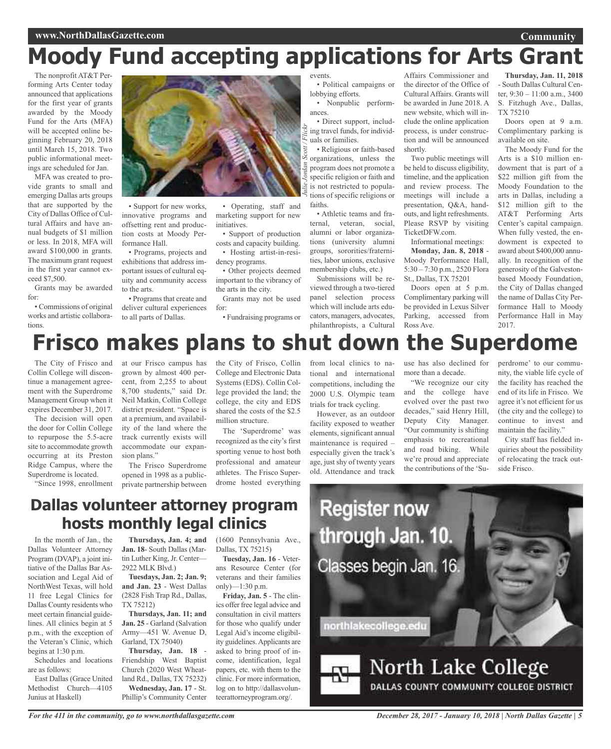# **Moody Fund accepting applications for Arts Grant**

The nonprofit AT&T Performing Arts Center today announced that applications for the first year of grants awarded by the Moody Fund for the Arts (MFA) will be accepted online beginning February 20, 2018 until March 15, 2018. Two public informational meetings are scheduled for Jan.

MFA was created to provide grants to small and emerging Dallas arts groups that are supported by the City of Dallas Office of Cultural Affairs and have annual budgets of \$1 million or less. In 2018, MFA will award \$100,000 in grants. The maximum grant request in the first year cannot exceed \$7,500.

Grants may be awarded for:

• Commissions of original works and artistic collaborations.



• Support for new works, innovative programs and offsetting rent and production costs at Moody Performance Hall.

• Programs, projects and exhibitions that address important issues of cultural equity and community access to the arts.

• Programs that create and deliver cultural experiences to all parts of Dallas.

• Operating, staff and marketing support for new initiatives.

• Support of production costs and capacity building. • Hosting artist-in-residency programs.

• Other projects deemed important to the vibrancy of the arts in the city.

Grants may not be used for:

• Fundraising programs or

events. • Political campaigns or

lobbying efforts. • Nonpublic performances.

*Julie Jordan Scott / Flickr* • Direct support, including travel funds, for individuals or families.

• Religious or faith-based organizations, unless the program does not promote a specific religion or faith and is not restricted to populations of specific religions or faiths.

• Athletic teams and fraternal, veteran, social, alumni or labor organizations (university alumni groups, sororities/fraternities, labor unions, exclusive membership clubs, etc.)

Submissions will be reviewed through a two-tiered panel selection process which will include arts educators, managers, advocates, philanthropists, a Cultural

Affairs Commissioner and the director of the Office of Cultural Affairs. Grants will be awarded in June 2018. A new website, which will include the online application process, is under construction and will be announced shortly.

Two public meetings will be held to discuss eligibility, timeline, and the application and review process. The meetings will include a presentation, Q&A, handouts, and light refreshments. Please RSVP by visiting TicketDFW.com.

Informational meetings:

**Monday, Jan. 8, 2018** - Moody Performance Hall, 5:30 – 7:30 p.m., 2520 Flora St., Dallas, TX 75201

Doors open at 5 p.m. Complimentary parking will be provided in Lexus Silver Parking, accessed from Ross Ave.

**Thursday, Jan. 11, 2018** - South Dallas Cultural Center, 9:30 – 11:00 a.m., 3400 S. Fitzhugh Ave., Dallas, TX 75210

**Community**

Doors open at 9 a.m. Complimentary parking is available on site.

The Moody Fund for the Arts is a \$10 million endowment that is part of a \$22 million gift from the Moody Foundation to the arts in Dallas, including a \$12 million gift to the AT&T Performing Arts Center's capital campaign. When fully vested, the endowment is expected to award about \$400,000 annually. In recognition of the generosity of the Galvestonbased Moody Foundation, the City of Dallas changed the name of Dallas City Performance Hall to Moody Performance Hall in May 2017.

## **Frisco makes plans to shut down the Superdome**

The City of Frisco and Collin College will discontinue a management agreement with the Superdrome Management Group when it expires December 31, 2017.

The decision will open the door for Collin College to repurpose the 5.5-acre site to accommodate growth occurring at its Preston Ridge Campus, where the Superdrome is located.

"Since 1998, enrollment

at our Frisco campus has grown by almost 400 percent, from 2,255 to about 8,700 students," said Dr. Neil Matkin, Collin College district president. "Space is at a premium, and availability of the land where the track currently exists will accommodate our expansion plans."

The Frisco Superdrome opened in 1998 as a publicprivate partnership between the City of Frisco, Collin College and Electronic Data Systems (EDS). Collin College provided the land; the college, the city and EDS shared the costs of the \$2.5 million structure.

The 'Superdrome' was recognized as the city's first sporting venue to host both professional and amateur athletes. The Frisco Superdrome hosted everything from local clinics to national and international competitions, including the 2000 U.S. Olympic team trials for track cycling.

However, as an outdoor facility exposed to weather elements, significant annual maintenance is required – especially given the track's age, just shy of twenty years old. Attendance and track

use has also declined for more than a decade.

"We recognize our city and the college have evolved over the past two decades," said Henry Hill, Deputy City Manager. "Our community is shifting emphasis to recreational and road biking. While we're proud and appreciate the contributions of the 'Superdrome' to our community, the viable life cycle of the facility has reached the end of its life in Frisco. We agree it's not efficient for us (the city and the college) to continue to invest and maintain the facility."

City staff has fielded inquiries about the possibility of relocating the track outside Frisco.

## **Dallas volunteer attorney program hosts monthly legal clinics**

In the month of Jan., the Dallas Volunteer Attorney Program (DVAP), a joint initiative of the Dallas Bar Association and Legal Aid of NorthWest Texas, will hold 11 free Legal Clinics for Dallas County residents who meet certain financial guidelines. All clinics begin at 5 p.m., with the exception of the Veteran's Clinic, which begins at 1:30 p.m.

Schedules and locations are as follows:

East Dallas (Grace United Methodist Church—4105 Junius at Haskell)

**Thursdays, Jan. 4; and Jan. 18**- South Dallas (Martin Luther King, Jr. Center— 2922 MLK Blvd.)

**Tuesdays, Jan. 2; Jan. 9; and Jan. 23** - West Dallas (2828 Fish Trap Rd., Dallas, TX 75212)

**Thursdays, Jan. 11; and Jan. 25** - Garland (Salvation Army—451 W. Avenue D, Garland, TX 75040)

**Thursday, Jan. 18** - Friendship West Baptist Church (2020 West Wheatland Rd., Dallas, TX 75232) **Wednesday, Jan. 17** - St. Phillip's Community Center

(1600 Pennsylvania Ave., Dallas, TX 75215)

**Tuesday, Jan. 16** - Veterans Resource Center (for veterans and their families only)—1:30 p.m.

**Friday, Jan. 5** - The clinics offer free legal advice and consultation in civil matters for those who qualify under Legal Aid's income eligibility guidelines.Applicants are asked to bring proof of income, identification, legal papers, etc. with them to the clinic. For more information, log on to http://dallasvolunteerattorneyprogram.org/.



*December 28, 2017 - January 10, 2018 | North Dallas Gazette | 5*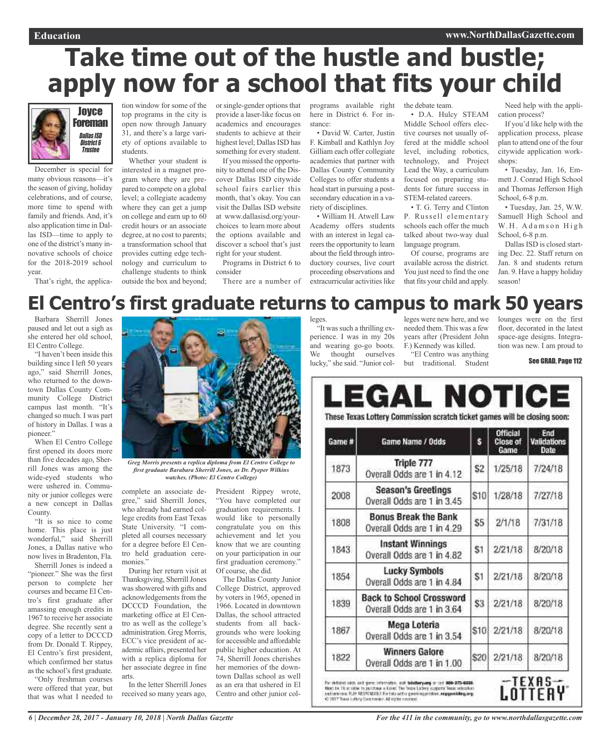# **Take time out of the hustle and bustle; apply now for a school that fits your child**



December is special for many obvious reasons—it's the season of giving, holiday celebrations, and of course, more time to spend with family and friends. And, it's also application time in Dallas ISD—time to apply to one of the district's many innovative schools of choice for the 2018-2019 school year.

That's right, the applica-

tion window for some of the top programs in the city is open now through January 31, and there's a large variety of options available to students.

Whether your student is interested in a magnet program where they are prepared to compete on a global level; a collegiate academy where they can get a jump on college and earn up to 60 credit hours or an associate degree, at no cost to parents; a transformation school that provides cutting edge technology and curriculum to challenge students to think outside the box and beyond;

or single-gender options that provide a laser-like focus on academics and encourages students to achieve at their highest level; Dallas ISD has something for every student.

If you missed the opportunity to attend one of the Discover Dallas ISD citywide school fairs earlier this month, that's okay. You can visit the Dallas ISD website at www.dallasisd.org/yourchoices to learn more about the options available and discover a school that's just right for your student.

Programs in District 6 to consider

There are a number of

programs available right here in District 6. For instance:

• David W. Carter, Justin F. Kimball and Kathlyn Joy Gilliam each offer collegiate academies that partner with Dallas County Community Colleges to offer students a head start in pursuing a postsecondary education in a variety of disciplines.

• William H. Atwell Law Academy offers students with an interest in legal careers the opportunity to learn about the field through introductory courses, live court proceeding observations and extracurricular activities like the debate team.

• D.A. Hulcy STEAM Middle School offers elective courses not usually offered at the middle school level, including robotics, technology, and Project Lead the Way, a curriculum focused on preparing students for future success in STEM-related careers.

• T. G. Terry and Clinton P. Russell elementary schools each offer the much talked about two-way dual language program.

Of course, programs are available across the district. You just need to find the one that fits your child and apply.

Need help with the application process?

If you'd like help with the application process, please plan to attend one of the four citywide application workshops:

• Tuesday, Jan. 16, Emmett J. Conrad High School and Thomas Jefferson High School, 6-8 p.m.

• Tuesday, Jan. 25, W.W. Samuell High School and W.H. Adamson High School, 6-8 p.m.

Dallas ISD is closed starting Dec. 22. Staff return on Jan. 8 and students return Jan. 9. Have a happy holiday season!

## **El Centro's first graduate returns to campus to mark 50 years**

Barbara Sherrill Jones paused and let out a sigh as she entered her old school, El Centro College.

"I haven't been inside this building since I left 50 years ago," said Sherrill Jones, who returned to the downtown Dallas County Community College District campus last month. "It's changed so much. I was part of history in Dallas. I was a pioneer."

When El Centro College first opened its doors more than five decades ago, Sherrill Jones was among the wide-eyed students who were ushered in. Community or junior colleges were a new concept in Dallas County.

"It is so nice to come home. This place is just wonderful," said Sherrill Jones, a Dallas native who now lives in Bradenton, Fla.

Sherrill Jones is indeed a "pioneer." She was the first person to complete her courses and became El Centro's first graduate after amassing enough credits in 1967 to receive her associate degree. She recently sent a copy of a letter to DCCCD from Dr. Donald T. Rippey, El Centro's first president, which confirmed her status as the school's first graduate. "Only freshman courses

were offered that year, but that was what I needed to



*first graduate Barabara Sherrill Jones, as Dr. Pyeper Wilkins watches. (Photo: El Centro College)*

complete an associate degree," said Sherrill Jones, who already had earned college credits from East Texas State University. "I completed all courses necessary for a degree before El Centro held graduation ceremonies."

During her return visit at Thanksgiving, Sherrill Jones was showered with gifts and acknowledgements from the DCCCD Foundation, the marketing office at El Centro as well as the college's administration. Greg Morris, ECC's vice president of academic affairs, presented her with a replica diploma for her associate degree in fine arts.

In the letter Sherrill Jones received so many years ago,

President Rippey wrote, "You have completed our graduation requirements. I would like to personally congratulate you on this achievement and let you know that we are counting on your participation in our first graduation ceremony." Of course, she did.

The Dallas County Junior College District, approved by voters in 1965, opened in 1966. Located in downtown Dallas, the school attracted students from all backgrounds who were looking for accessible and affordable public higher education. At 74, Sherrill Jones cherishes her memories of the downtown Dallas school as well as an era that ushered in El Centro and other junior colleges.

"It was such a thrilling experience. I was in my 20s and wearing go-go boots. We thought ourselves lucky," she said. "Junior colleges were new here, and we needed them. This was a few years after (President John F.) Kennedy was killed. "El Centro was anything

but traditional. Student

lounges were on the first floor, decorated in the latest space-age designs. Integration was new. I am proud to

See GRAD, Page 112

#### LEGAL NOTICE These Texas Lottery Commission scratch ticket games will be closing soon: Official End  $\ddot{s}$ Game # Game Name / Odds **Close of** Validations Game Date Triple 777 1873  $$2$ 1/25/18 7/24/18 Overall Odds are 1 in 4.12 **Season's Greetings** 2008  $$10$ 1/28/18 7/27/18 Overall Odds are 1 in 3.45 **Bonus Break the Bank** 1808 S5  $2/1/18$ 7/31/18 Overall Odds are 1 in 4.29 **Instant Winnings**  $2/21/18$ 8/20/18 1843 \$1 Overall Odds are 1 in 4.82 **Lucky Symbols** 1854  $2/21/18$  $8/20/18$ S1 Overall Odds are 1 in 4.84 **Back to School Crossword** \$3 1839  $2/21/18$ 8/20/18 Overall Odds are 1 in 3.64 Mega Loteria 1867  $$10$  $2/21/18$ 8/20/18 Overall Odds are 1 in 3.54 **Winners Galore** 1822  $2/21/18$ 8/20/18 \$20 Overall Odds are 1 in 1.00 TEXAS Por defisied odds, and gone information, and **bustery any** or call **909-375-9886.**<br>Nort by It's a other to parchase a blood. The Years Lidery cusperts Team education.<br>and whereas FLAP RESPONDED. For take with a governagema ÎËRY

*6 | December 28, 2017 - January 10, 2018 | North Dallas Gazette*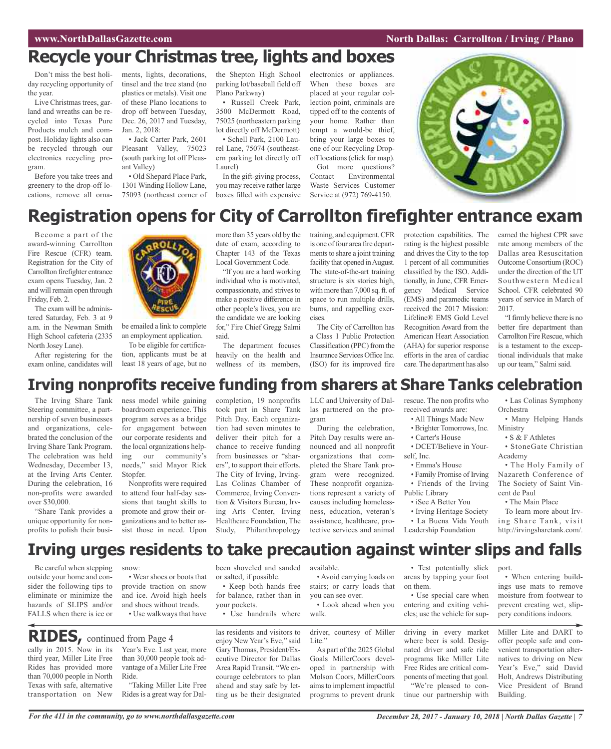### **WAWRIGHT WAS SEXUAL SEXUAL SEXUAL SEXUAL SEXUAL SEXUAL SEXUAL SEXUAL SEXUAL SEXUAL SEXUAL SEXUAL SEXUAL SEXUAL SE**

## **Recycle your Christmas tree, lights and boxes**

Don't miss the best holiday recycling opportunity of the year.

Live Christmas trees, garland and wreaths can be recycled into Texas Pure Products mulch and compost. Holiday lights also can be recycled through our electronics recycling program.

Before you take trees and greenery to the drop-off locations, remove all orna-

ments, lights, decorations, tinsel and the tree stand (no plastics or metals). Visit one of these Plano locations to drop off between Tuesday, Dec. 26, 2017 and Tuesday, Jan. 2, 2018:

• Jack Carter Park, 2601 Pleasant Valley, 75023 (south parking lot off Pleasant Valley)

• Old Shepard Place Park, 1301 Winding Hollow Lane, 75093 (northeast corner of the Shepton High School parking lot/baseball field off Plano Parkway)

• Russell Creek Park, 3500 McDermott Road, 75025 (northeastern parking lot directly off McDermott)

• Schell Park, 2100 Laurel Lane, 75074 (southeastern parking lot directly off Laurel)

In the gift-giving process, you may receive rather large boxes filled with expensive electronics or appliances. When these boxes are placed at your regular collection point, criminals are tipped off to the contents of your home. Rather than tempt a would-be thief, bring your large boxes to one of our Recycling Dropoff locations(click for map). Got more questions?

Contact Environmental Waste Services Customer Service at (972) 769-4150.



## **Registration opens for City of Carrollton firefighter entrance exam**

Become a part of the award-winning Carrollton Fire Rescue (CFR) team. Registration for the City of Carrollton firefighter entrance exam opens Tuesday, Jan. 2 and will remain open through Friday, Feb. 2.

The exam will be administered Saturday, Feb. 3 at 9 a.m. in the Newman Smith High School cafeteria (2335 North Josey Lane).

After registering for the exam online, candidates will



be emailed a link to complete an employment application. To be eligible for certifica-

tion, applicants must be at least 18 years of age, but no more than 35 years old by the date of exam, according to Chapter 143 of the Texas Local Government Code.

"If you are a hard working individual who is motivated, compassionate, and strives to make a positive difference in other people's lives, you are the candidate we are looking for," Fire Chief Gregg Salmi said.

The department focuses heavily on the health and wellness of its members,

training, and equipment.CFR is one of four area fire departments to share a joint training facility that opened in August. The state-of-the-art training structure is six stories high, with more than 7,000 sq. ft. of space to run multiple drills, burns, and rappelling exercises.

The City of Carrollton has a Class 1 Public Protection Classification (PPC) from the Insurance Services Office Inc. (ISO) for its improved fire

protection capabilities. The rating is the highest possible and drives the City to the top 1 percent of all communities classified by the ISO. Additionally, in June, CFR Emergency Medical Service (EMS) and paramedic teams received the 2017 Mission: Lifeline® EMS Gold Level Recognition Award from the American Heart Association (AHA) for superior response efforts in the area of cardiac care.The department has also

earned the highest CPR save rate among members of the Dallas area Resuscitation Outcome Consortium (ROC) under the direction of the UT Southwestern Medical School. CFR celebrated 90 years of service in March of 2017.

"Ifirmly believe there is no better fire department than Carrollton Fire Rescue, which is a testament to the exceptional individuals that make up our team," Salmi said.

## **Irving nonprofits receive funding from sharers at Share Tanks celebration**

The Irving Share Tank Steering committee, a partnership of seven businesses and organizations, celebrated the conclusion of the Irving Share Tank Program. The celebration was held Wednesday, December 13, at the Irving Arts Center. During the celebration, 16 non-profits were awarded over \$30,000.

"Share Tank provides a unique opportunity for nonprofits to polish their business model while gaining boardroom experience. This program serves as a bridge for engagement between our corporate residents and the local organizations helping our community's needs," said Mayor Rick Stopfer. Nonprofits were required

to attend four half-day sessions that taught skills to promote and grow their organizations and to better assist those in need. Upon

completion, 19 nonprofits took part in Share Tank Pitch Day. Each organization had seven minutes to deliver their pitch for a chance to receive funding from businesses or "sharers", to support their efforts. The City of Irving, Irving-Las Colinas Chamber of Commerce, Irving Convention & Visitors Bureau, Irving Arts Center, Irving Healthcare Foundation, The Study, Philanthropology

LLC and University of Dallas partnered on the program

During the celebration, Pitch Day results were announced and all nonprofit organizations that completed the Share Tank program were recognized. These nonprofit organizations represent a variety of causes including homelessness, education, veteran's assistance, healthcare, protective services and animal

rescue. The non profits who received awards are:

- All Things Made New
- Brighter Tomorrows, Inc.
- Carter's House
- DCET/Believe in Yourself. Inc.
- Emma's House
- Family Promise of Irving
- Friends of the Irving
- Public Library • iSee A Better You
- 
- Irving Heritage Society • La Buena Vida Youth Leadership Foundation

• Las Colinas Symphony Orchestra

• Many Helping Hands Ministry

• S & F Athletes

• StoneGate Christian Academy

• The Holy Family of Nazareth Conference of The Society of Saint Vincent de Paul

• The Main Place

To learn more about Irving Share Tank, visit http://irvingsharetank.com/.

## **Irving urges residents to take precaution against winter slips and falls**

Be careful when stepping outside your home and consider the following tips to eliminate or minimize the hazards of SLIPS and/or FALLS when there is ice or

snow:

• Wear shoes or boots that provide traction on snow and ice. Avoid high heels and shoes without treads. • Use walkways that have

## **RIDES,** continued from Page <sup>4</sup>

cally in 2015. Now in its third year, Miller Lite Free Rides has provided more than 70,000 people in North Texas with safe, alternative transportation on New

Year's Eve. Last year, more than 30,000 people took advantage of a Miller Lite Free Ride. "Taking Miller Lite Free

Rides is a great way for Dal-

or salted, if possible. • Keep both hands free for balance, rather than in

- your pockets. • Use handrails where
	-

las residents and visitors to enjoy New Year's Eve," said Gary Thomas, President/Executive Director for Dallas Area Rapid Transit. "We encourage celebrators to plan ahead and stay safe by letting us be their designated

been shoveled and sanded available.

> • Avoid carrying loads on stairs; or carry loads that you can see over.

• Look ahead when you walk.

driver, courtesy of Miller Lite."

As part of the 2025 Global Goals MillerCoors developed in partnership with Molson Coors, MillerCoors aimsto implement impactful programs to prevent drunk

• Test potentially slick areas by tapping your foot on them.

• Use special care when entering and exiting vehicles; use the vehicle for sup-

driving in every market where beer is sold. Designated driver and safe ride programs like Miller Lite Free Rides are critical components of meeting that goal. "We're pleased to continue our partnership with

port.

• When entering buildings use mats to remove moisture from footwear to prevent creating wet, slippery conditions indoors.

Miller Lite and DART to offer people safe and convenient transportation alternatives to driving on New Year's Eve," said David Holt, Andrews Distributing Vice President of Brand Building.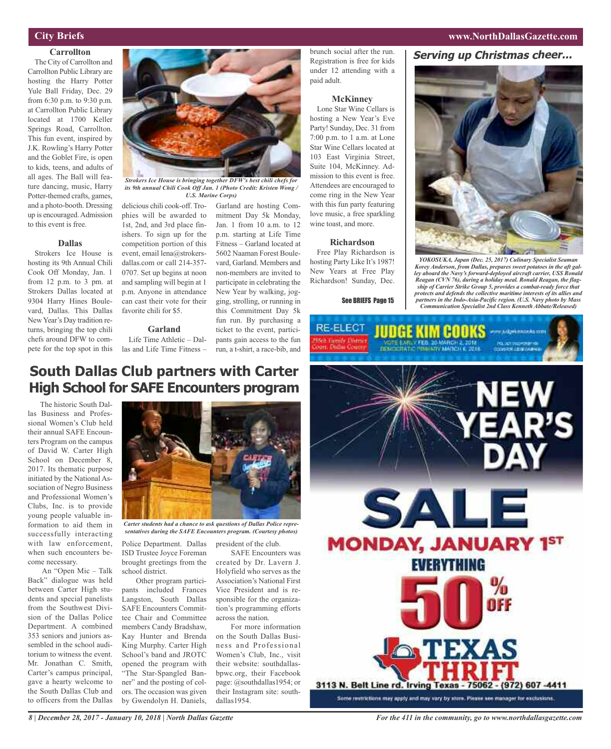### **City Briefs**

### **Carrollton**

The City of Carrollton and Carrollton Public Library are hosting the Harry Potter Yule Ball Friday, Dec. 29 from 6:30 p.m. to 9:30 p.m. at Carrollton Public Library located at 1700 Keller Springs Road, Carrollton. This fun event, inspired by J.K. Rowling's Harry Potter and the Goblet Fire, is open to kids, teens, and adults of all ages. The Ball will feature dancing, music, Harry Potter-themed crafts, games, and a photo-booth. Dressing up is encouraged.Admission to this event is free.

### **Dallas**

Strokers Ice House is hosting its 9th Annual Chili Cook Off Monday, Jan. 1 from 12 p.m. to 3 pm. at Strokers Dallas located at 9304 Harry Hines Boulevard, Dallas. This Dallas New Year's Day tradition returns, bringing the top chili chefs around DFW to compete for the top spot in this delicious chili cook-off. Trophies will be awarded to 1st, 2nd, and 3rd place finishers. To sign up for the competition portion of this event, email lena@strokersdallas.com or call 214-357- 0707. Set up begins at noon and sampling will begin at 1 p.m. Anyone in attendance can cast their vote for their favorite chili for \$5. *its 9th annual Chili Cook Off Jan. 1 (Photo Credit: Kristen Wong / U.S. Marine Corps)*

*Strokers Ice House is bringing together DFW's best chili chefs for*

### **Garland**

Life Time Athletic – Dallas and Life Time Fitness –

Garland are hosting Commitment Day 5k Monday, Jan. 1 from 10 a.m. to 12 p.m. starting at Life Time Fitness – Garland located at 5602 Naaman Forest Boulevard, Garland. Members and non-members are invited to participate in celebrating the New Year by walking, jogging, strolling, or running in this Commitment Day 5k fun run. By purchasing a ticket to the event, participants gain access to the fun run, a t-shirt, a race-bib, and

brunch social after the run. Registration is free for kids under 12 attending with a paid adult.

#### **McKinney**

Lone Star Wine Cellars is hosting a New Year's Eve Party! Sunday, Dec. 31 from 7:00 p.m. to 1 a.m. at Lone Star Wine Cellars located at 103 East Virginia Street, Suite 104, McKinney. Admission to this event is free. Attendees are encouraged to come ring in the New Year with this fun party featuring love music, a free sparkling wine toast, and more.

### **Richardson**

Free Play Richardson is hosting Party Like It's 1987! New Years at Free Play Richardson! Sunday, Dec.

See BRIEFS Page 15

**Serving up Christmas cheer...**

**www.NorthDallasGazette.com**



*YOKOSUKA, Japan (Dec. 25, 2017) Culinary Specialist Seaman Korey Anderson, from Dallas, prepares sweet potatoes in the aft galley aboard the Navy's forward-deployed aircraft carrier, USS Ronald Reagan (CVN 76), during a holiday meal. Ronald Reagan, the flagship of Carrier Strike Group 5, provides a combat-ready force that protects and defends the collective maritime interests of its allies and partners in the Indo-Asia-Pacific region. (U.S. Navy photo by Mass Communication Specialist 2nd Class Kenneth Abbate/Released)*



### **South Dallas Club partners with Carter High School for SAFE Encounters program**

The historic South Dallas Business and Professional Women's Club held their annual SAFE Encounters Program on the campus of David W. Carter High School on December 8, 2017. Its thematic purpose initiated by the National Association of Negro Business and Professional Women's Clubs, Inc. is to provide young people valuable information to aid them in successfully interacting with law enforcement, when such encounters become necessary.

An "Open Mic – Talk Back" dialogue was held between Carter High students and special panelists from the Southwest Division of the Dallas Police Department. A combined 353 seniors and juniors assembled in the school auditorium to witness the event. Mr. Jonathan C. Smith, Carter's campus principal, gave a hearty welcome to the South Dallas Club and to officers from the Dallas



*Carter students had a chance to ask questions of Dallas Police representatives during the SAFE Encounters program. (Courtesy photos)*

Police Department. Dallas ISD Trustee Joyce Foreman brought greetings from the school district.

Other program participants included Frances Langston, South Dallas SAFE Encounters Committee Chair and Committee members Candy Bradshaw, Kay Hunter and Brenda King Murphy. Carter High School's band and JROTC opened the program with "The Star-Spangled Banner" and the posting of colors. The occasion was given by Gwendolyn H. Daniels,

president of the club.

SAFE Encounters was created by Dr. Lavern J. Holyfield who serves as the Association's National First Vice President and is responsible for the organization's programming efforts across the nation.

For more information on the South Dallas Business and Professional Women's Club, Inc., visit their website: southdallasbpwc.org, their Facebook page: @southdallas1954; or their Instagram site: southdallas1954.

*8 | December 28, 2017 - January 10, 2018 | North Dallas Gazette*

*For the 411 in the community, go to www.northdallasgazette.com*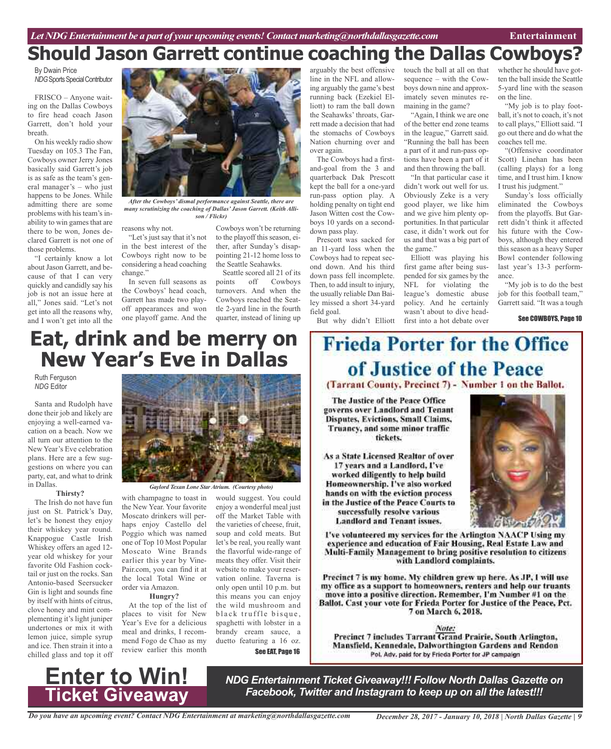## **Should Jason Garrett continue coaching the Dallas Cowboys?**

By Dwain Price **NDG** Sports Special Contributor

FRISCO – Anyone waiting on the Dallas Cowboys to fire head coach Jason Garrett, don't hold your breath.

On his weekly radio show Tuesday on 105.3 The Fan, Cowboys owner Jerry Jones basically said Garrett's job is as safe as the team's general manager's – who just happens to be Jones. While admitting there are some problems with his team's inability to win games that are there to be won, Jones declared Garrett is not one of those problems.

"I certainly know a lot about Jason Garrett, and because of that I can very quickly and candidly say his job is not an issue here at all," Jones said. "Let's not get into all the reasons why, and I won't get into all the



*After the Cowboys' dismal performance against Seattle, there are many scrutinizing the coaching of Dallas' Jason Garrett. (Keith Allison / Flickr)*

reasons why not.

"Let's just say that it's not in the best interest of the Cowboys right now to be considering a head coaching change."

In seven full seasons as the Cowboys' head coach, Garrett has made two playoff appearances and won one playoff game. And the

Cowboys won't be returning to the playoff this season, either, after Sunday's disappointing 21-12 home loss to the Seattle Seahawks.

Seattle scored all 21 of its points off Cowboys turnovers. And when the Cowboys reached the Seattle 2-yard line in the fourth quarter, instead of lining up

arguably the best offensive line in the NFL and allowing arguably the game's best running back (Ezekiel Elliott) to ram the ball down the Seahawks' throats, Garrett made a decision that had the stomachs of Cowboys Nation churning over and over again.

The Cowboys had a firstand-goal from the 3 and quarterback Dak Prescott kept the ball for a one-yard run-pass option play. A holding penalty on tight end Jason Witten cost the Cowboys 10 yards on a seconddown pass play.

Prescott was sacked for an 11-yard loss when the Cowboys had to repeat second down. And his third down pass fell incomplete. Then, to add insult to injury, the usually reliable Dan Bailey missed a short 34-yard field goal.

But why didn't Elliott

touch the ball at all on that sequence – with the Cowboys down nine and approximately seven minutes remaining in the game?

"Again, I think we are one of the better end zone teams in the league," Garrett said. "Running the ball has been a part of it and run-pass options have been a part of it and then throwing the ball.

"In that particular case it didn't work out well for us. Obviously Zeke is a very good player, we like him and we give him plenty opportunities. In that particular case, it didn't work out for us and that was a big part of the game."

Elliott was playing his first game after being suspended for six games by the NFL for violating the league's domestic abuse policy. And he certainly wasn't about to dive headfirst into a hot debate over

whether he should have gotten the ball inside the Seattle 5-yard line with the season on the line.

"My job is to play football, it's not to coach, it's not to call plays," Elliott said. "I go out there and do what the coaches tell me.

"(Offensive coordinator Scott) Linehan has been (calling plays) for a long time, and I trust him. I know I trust his judgment."

Sunday's loss officially eliminated the Cowboys from the playoffs. But Garrett didn't think it affected his future with the Cowboys, although they entered this season as a heavy Super Bowl contender following last year's 13-3 performance.

"My job is to do the best job for this football team," Garrett said. "It was a tough

See COWBOYS, Page 10

## **Eat, drink and be merry on New Year's Eve in Dallas**

Ruth Ferguson *NDG* Editor

Santa and Rudolph have done their job and likely are enjoying a well-earned vacation on a beach. Now we all turn our attention to the New Year's Eve celebration plans. Here are a few suggestions on where you can party, eat, and what to drink in Dallas.

#### **Thirsty?**

The Irish do not have fun just on St. Patrick's Day, let's be honest they enjoy their whiskey year round. Knappogue Castle Irish Whiskey offers an aged 12 year old whiskey for your favorite Old Fashion cocktail or just on the rocks. San Antonio-based Seersucker Gin is light and sounds fine by itself with hints of citrus, clove honey and mint complementing it's light juniper undertones or mix it with lemon juice, simple syrup and ice. Then strain it into a chilled glass and top it off



*Gaylord Texan Lone StarAtrium. (Courtesy photo)*

with champagne to toast in the New Year. Your favorite Moscato drinkers will perhaps enjoy Castello del Poggio which was named one of Top 10 Most Popular Moscato Wine Brands earlier this year by Vine-Pair.com, you can find it at the local Total Wine or order via Amazon.

**Hungry?**

At the top of the list of places to visit for New Year's Eve for a delicious meal and drinks, I recommend Fogo de Chao as my review earlier this month

would suggest. You could enjoy a wonderful meal just off the Market Table with the varieties of cheese, fruit, soup and cold meats. But let's be real, you really want the flavorful wide-range of meats they offer. Visit their website to make your reservation online. Taverna is only open until 10 p.m. but this means you can enjoy the wild mushroom and black truffle bisque, spaghetti with lobster in a brandy cream sauce, a duetto featuring a 16 oz.

See EAT, Page 16

# **Frieda Porter for the Office** of Justice of the Peace

(Tarrant County, Precinct 7) - Number 1 on the Ballot.

The Justice of the Peace Office governs over Landlord and Tenant Disputes, Evictions, Small Claims, Truancy, and some minor traffic tickets.

As a State Licensed Realtor of over 17 years and a Landlord, I've worked diligently to help build Homeownership. I've also worked hands on with the eviction process in the Justice of the Peace Courts to successfully resolve various **Landlord and Tenant issues.** 



I've volunteered my services for the Arlington NAACP Using my experience and education of Fair Housing, Real Estate Law and Multi-Family Management to bring positive resolution to citizens with Landlord complaints.

Precinct 7 is my home. My children grew up here. As JP, I will use my office as a support to homeowners, renters and help our truants move into a positive direction. Remember, I'm Number #1 on the Ballot. Cast your vote for Frieda Porter for Justice of the Peace, Pct. 7 on March 6, 2018.

Note: Precinct 7 includes Tarrant Grand Prairie, South Arlington, Mansfield, Kennedale, Dalworthington Gardens and Rendon Pol. Adv. paid for by Frieda Porter for JP campaign



*NDG Entertainment Ticket Giveaway!!! Follow North Dallas Gazette on Facebook, Twitter and Instagram to keep up on all the latest!!!*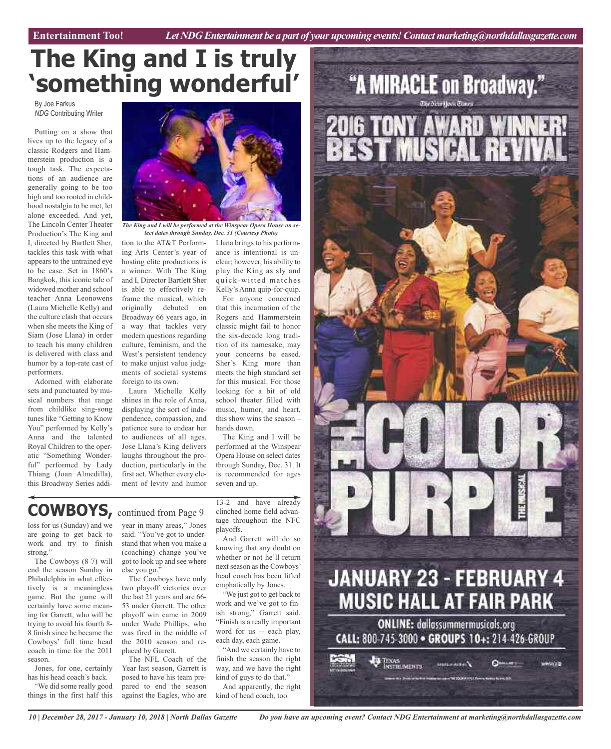# **The King and I is truly 'something wonderful'**

By Joe Farkus *NDG* Contributing Writer

Putting on a show that lives up to the legacy of a classic Rodgers and Hammerstein production is a tough task. The expectations of an audience are generally going to be too high and too rooted in childhood nostalgia to be met, let alone exceeded. And yet, The Lincoln Center Theater Production's The King and I, directed by Bartlett Sher, tackles this task with what appears to the untrained eye to be ease. Set in 1860's Bangkok, this iconic tale of widowed mother and school teacher Anna Leonowens (Laura Michelle Kelly) and the culture clash that occurs when she meets the King of Siam (Jose Llana) in order to teach his many children is delivered with class and humor by a top-rate cast of performers.

Adorned with elaborate sets and punctuated by musical numbers that range from childlike sing-song tunes like "Getting to Know You" performed by Kelly's Anna and the talented Royal Children to the operatic "Something Wonderful" performed by Lady Thiang (Joan Almedilla), this Broadway Series addi-



*The King and I will be performed at the Winspear Opera House on select dates through Sunday, Dec. 31 (Courtesy Photo)*

Llana brings to his performance is intentional is unclear; however, his ability to play the King as sly and quick-witted matches Kelly's Anna quip-for-quip. For anyone concerned that this incarnation of the Rogers and Hammerstein classic might fail to honor the six-decade long tradition of its namesake, may your concerns be eased. Sher's King more than meets the high standard set for this musical. For those looking for a bit of old school theater filled with music, humor, and heart, this show wins the season –

tion to the AT&T Performing Arts Center's year of hosting elite productions is a winner. With The King and I, Director Bartlett Sher is able to effectively reframe the musical, which originally debuted on Broadway 66 years ago, in a way that tackles very modern questions regarding culture, feminism, and the West's persistent tendency to make unjust value judgments of societal systems foreign to its own.

Laura Michelle Kelly shines in the role of Anna, displaying the sort of independence, compassion, and patience sure to endear her to audiences of all ages. Jose Llana's King delivers laughs throughout the production, particularly in the first act. Whether every element of levity and humor

## **COWBOYS,** continued from Page <sup>9</sup>

loss for us (Sunday) and we are going to get back to work and try to finish strong."

The Cowboys (8-7) will end the season Sunday in Philadelphia in what effectively is a meaningless game. But the game will certainly have some meaning for Garrett, who will be trying to avoid his fourth 8- 8 finish since he became the Cowboys' full time head coach in time for the 2011 season.

Jones, for one, certainly has his head coach's back.

"We did some really good things in the first half this year in many areas," Jones said. "You've got to understand that when you make a (coaching) change you've got to look up and see where else you go."

The Cowboys have only two playoff victories over the last 21 years and are 66- 53 under Garrett. The other playoff win came in 2009 under Wade Phillips, who was fired in the middle of the 2010 season and replaced by Garrett.

The NFL Coach of the Year last season, Garrett is posed to have his team prepared to end the season against the Eagles, who are

13-2 and have already clinched home field advantage throughout the NFC playoffs.

The King and I will be performed at the Winspear Opera House on select dates through Sunday, Dec. 31. It is recommended for ages

hands down.

seven and up.

And Garrett will do so knowing that any doubt on whether or not he'll return next season as the Cowboys' head coach has been lifted emphatically by Jones.

"We just got to get back to work and we've got to finish strong," Garrett said. "Finish is a really important word for us -- each play, each day, each game.

"And we certainly have to finish the season the right way, and we have the right kind of guys to do that."

And apparently, the right kind of head coach, too.



*10 | December 28, 2017 - January 10, 2018 | North Dallas Gazette*

*Do you have an upcoming event? Contact NDG Entertainment at marketing@northdallasgazette.com*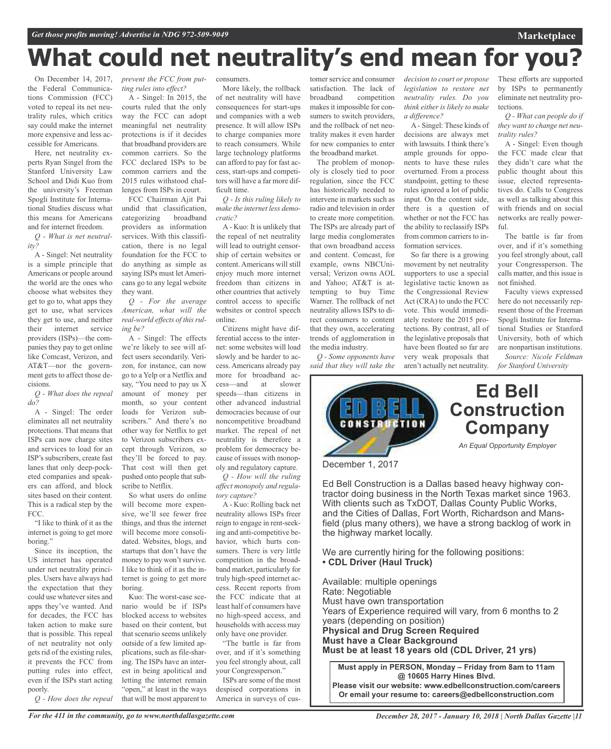# **What could net neutrality's end mean for you?**

On December 14, 2017, the Federal Communications Commission (FCC) voted to repeal its net neutrality rules, which critics say could make the internet more expensive and less accessible for Americans.

Here, net neutrality experts Ryan Singel from the Stanford University Law School and Didi Kuo from the university's Freeman Spogli Institute for International Studies discuss what this means for Americans and for internet freedom.

*Q - What is net neutrality?*

A - Singel: Net neutrality is a simple principle that Americans or people around the world are the ones who choose what websites they get to go to, what apps they get to use, what services they get to use, and neither their internet service providers (ISPs)—the companies they pay to get online like Comcast, Verizon, and AT&T—nor the government gets to affect those decisions.

*Q - What does the repeal do?*

A - Singel: The order eliminates all net neutrality protections. That means that ISPs can now charge sites and services to load for an ISP's subscribers, create fast lanes that only deep-pocketed companies and speakers can afford, and block sites based on their content. This is a radical step by the FCC.

"I like to think of it as the internet is going to get more boring."

Since its inception, the US internet has operated under net neutrality principles. Users have always had the expectation that they could use whatever sites and apps they've wanted. And for decades, the FCC has taken action to make sure that is possible. This repeal of net neutrality not only gets rid of the existing rules, it prevents the FCC from putting rules into effect, even if the ISPs start acting poorly.

*Q - How does the repeal*

*prevent the FCC from put-*consumers. *ting rules into effect?*

A - Singel: In 2015, the courts ruled that the only way the FCC can adopt meaningful net neutrality protections is if it decides that broadband providers are common carriers. So the FCC declared ISPs to be common carriers and the 2015 rules withstood challenges from ISPs in court.

FCC Chairman Ajit Pai undid that classification, categorizing broadband providers as information services. With this classification, there is no legal foundation for the FCC to do anything as simple as saying ISPs must let Americans go to any legal website they want.

*Q - For the average American, what will the real-world effects of thisruling be?*

A - Singel: The effects we're likely to see will affect users secondarily. Verizon, for instance, can now go to a Yelp or a Netflix and say, "You need to pay us X amount of money per month, so your content loads for Verizon subscribers." And there's no other way for Netflix to get to Verizon subscribers except through Verizon, so they'll be forced to pay. That cost will then get pushed onto people that subscribe to Netflix.

So what users do online will become more expensive, we'll see fewer free things, and thus the internet will become more consolidated. Websites, blogs, and startups that don't have the money to pay won't survive. I like to think of it as the internet is going to get more boring.

Kuo: The worst-case scenario would be if ISPs blocked access to websites based on their content, but that scenario seems unlikely outside of a few limited applications, such as file-sharing. The ISPs have an interest in being apolitical and letting the internet remain "open," at least in the ways that will be most apparent to

More likely, the rollback of net neutrality will have consequences for start-ups and companies with a web presence. It will allow ISPs to charge companies more to reach consumers. While large technology platforms can afford to pay for fast access, start-ups and competitors will have a far more difficult time.

*Q - Is this ruling likely to make the internet less democratic?*

A- Kuo: It is unlikely that the repeal of net neutrality will lead to outright censorship of certain websites or content. Americans will still enjoy much more internet freedom than citizens in other countries that actively control access to specific websites or control speech online.

Citizens might have differential access to the internet: some websites will load slowly and be harder to access.Americans already pay more for broadband access—and at slower speeds—than citizens in other advanced industrial democracies because of our noncompetitive broadband market. The repeal of net neutrality is therefore a problem for democracy because of issues with monopoly and regulatory capture.

*Q - How will the ruling affect monopoly and regulatory capture?*

A - Kuo: Rolling back net neutrality allows ISPs freer reign to engage in rent-seeking and anti-competitive behavior, which hurts consumers. There is very little competition in the broadband market, particularly for truly high-speed internet access. Recent reports from the FCC indicate that at least half of consumers have no high-speed access, and households with access may only have one provider.

"The battle is far from over, and if it's something you feel strongly about, call your Congressperson."

ISPs are some of the most despised corporations in America in surveys of cus-

tomer service and consumer satisfaction. The lack of broadband competition makes it impossible for consumers to switch providers, and the rollback of net neutrality makes it even harder for new companies to enter the broadband market.

The problem of monopoly is closely tied to poor regulation, since the FCC has historically needed to intervene in markets such as radio and television in order to create more competition. The ISPs are already part of large media conglomerates that own broadband access and content. Comcast, for example, owns NBCUniversal; Verizon owns AOL and Yahoo; AT&T is attempting to buy Time Warner. The rollback of net neutrality allows ISPs to direct consumers to content that they own, accelerating trends of agglomeration in the media industry.

*Q - Some opponents have said that they will take the* *decision to court or propose legislation to restore net neutrality rules. Do you think either is likely to make a difference?*

A - Singel: These kinds of decisions are always met with lawsuits. I think there's ample grounds for opponents to have these rules overturned. From a process standpoint, getting to these rules ignored a lot of public input. On the content side, there is a question of whether or not the FCC has the ability to reclassify ISPs from common carriers to information services.

So far there is a growing movement by net neutrality supporters to use a special legislative tactic known as the Congressional Review Act (CRA) to undo the FCC vote. This would immediately restore the 2015 protections. By contrast, all of the legislative proposals that have been floated so far are very weak proposals that aren't actually net neutrality. These efforts are supported by ISPs to permanently eliminate net neutrality protections.

**Marketplace**

*Q - What can people do if they want to change net neutrality rules?*

A - Singel: Even though the FCC made clear that they didn't care what the public thought about this issue, elected representatives do. Calls to Congress as well as talking about this with friends and on social networks are really powerful.

The battle is far from over, and if it's something you feel strongly about, call your Congressperson. The calls matter, and this issue is not finished.

Faculty views expressed here do not necessarily represent those of the Freeman Spogli Institute for International Studies or Stanford University, both of which are nonpartisan institutions.

*Source: Nicole Feldman for Stanford University*



December 1, 2017

Ed Bell Construction is a Dallas based heavy highway contractor doing business in the North Texas market since 1963. With clients such as TxDOT, Dallas County Public Works, and the Cities of Dallas, Fort Worth, Richardson and Mansfield (plus many others), we have a strong backlog of work in the highway market locally.

We are currently hiring for the following positions: **• CDL Driver (Haul Truck)**

Available: multiple openings Rate: Negotiable Must have own transportation Years of Experience required will vary, from 6 months to 2 years (depending on position) **Physical and Drug Screen Required Must have a Clear Background Must be at least 18 years old (CDL Driver, 21 yrs)**

**Must apply in PERSON, Monday – Friday from 8am to 11am @ 10605 Harry Hines Blvd. Please visit our website: www.edbellconstruction.com/careers Or email your resume to: careers@edbellconstruction.com**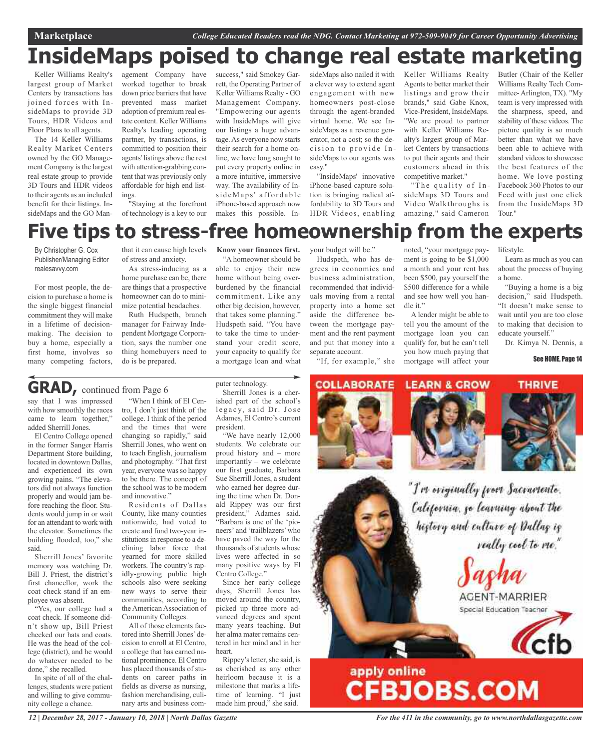**Marketplace** *College Educated Readers read the NDG. Contact Marketing at 972-509-9049 for Career Opportunity Advertising*

## **InsideMaps poised to change real estate marketing**

Keller Williams Realty's largest group of Market Centers by transactions has joined forces with InsideMaps to provide 3D Tours, HDR Videos and Floor Plans to all agents.

The 14 Keller Williams Realty Market Centers owned by the GO Management Company is the largest real estate group to provide 3D Tours and HDR videos to their agents as an included benefit for their listings. InsideMaps and the GO Man-

agement Company have worked together to break down price barriers that have prevented mass market adoption of premium real estate content. Keller Williams Realty's leading operating partner, by transactions, is committed to position their agents' listings above the rest with attention-grabbing content that was previously only affordable for high end listings.

"Staying at the forefront of technology is a key to our

success," said Smokey Garrett, the Operating Partner of Keller Williams Realty - GO Management Company. "Empowering our agents with InsideMaps will give our listings a huge advantage.As everyone now starts their search for a home online, we have long sought to put every property online in a more intuitive, immersive way. The availability of InsideMaps' affordable iPhone-based approach now makes this possible. InsideMaps also nailed it with a clever way to extend agent engagement with new homeowners post-close through the agent-branded virtual home. We see InsideMaps as a revenue generator, not a cost; so the decision to provide InsideMaps to our agents was easy."

"InsideMaps' innovative iPhone-based capture solution is bringing radical affordability to 3D Tours and HDR Videos, enabling

Keller Williams Realty Agents to better market their listings and grow their brands," said Gabe Knox, Vice-President, InsideMaps. "We are proud to partner with Keller Williams Realty's largest group of Market Centers by transactions to put their agents and their customers ahead in this competitive market."

"The quality of InsideMaps 3D Tours and Video Walkthroughs is amazing," said Cameron

noted, "your mortgage payment is going to be \$1,000 a month and your rent has been \$500, pay yourself the \$500 difference for a while and see how well you han-

A lender might be able to tell you the amount of the mortgage loan you can qualify for, but he can't tell you how much paying that

dle it."

Butler (Chair of the Keller Williams Realty Tech Committee-Arlington, TX). "My team is very impressed with the sharpness, speed, and stability of these videos. The picture quality is so much better than what we have been able to achieve with standard videos to showcase the best features of the home. We love posting Facebook 360 Photos to our Feed with just one click from the InsideMaps 3D Tour."

Learn as much as you can about the process of buying

"Buying a home is a big decision," said Hudspeth. "It doesn't make sense to wait until you are too close to making that decision to

Dr. Kimya N. Dennis, a

See HOME, Page 14

lifestyle.

a home.

educate yourself."

## **Five tips to stress-free homeownership from the experts**

By Christopher G. Cox Publisher/Managing Editor realesavvy.com

For most people, the decision to purchase a home is the single biggest financial commitment they will make in a lifetime of decisionmaking. The decision to buy a home, especially a first home, involves so many competing factors,

that it can cause high levels of stress and anxiety.

As stress-inducing as a home purchase can be, there are things that a prospective homeowner can do to minimize potential headaches.

Ruth Hudspeth, branch manager for Fairway Independent Mortgage Corporation, says the number one thing homebuyers need to do is be prepared.

**Know your finances first.**

"A homeowner should be able to enjoy their new home without being overburdened by the financial commitment. Like any other big decision, however, that takes some planning." Hudspeth said. "You have to take the time to understand your credit score, your capacity to qualify for a mortgage loan and what

your budget will be."

Hudspeth, who has degrees in economics and business administration, recommended that individuals moving from a rental property into a home set aside the difference between the mortgage payment and the rent payment and put that money into a separate account.

"If, for example," she

## **GRAD,** continued from Page <sup>6</sup>

say that I was impressed with how smoothly the races came to learn together," added Sherrill Jones.

El Centro College opened in the former Sanger Harris Department Store building, located in downtown Dallas, and experienced its own growing pains. "The elevators did not always function properly and would jam before reaching the floor. Students would jump in or wait for an attendant to work with the elevator. Sometimes the building flooded, too," she said.

Sherrill Jones' favorite memory was watching Dr. Bill J. Priest, the district's first chancellor, work the coat check stand if an employee was absent.

"Yes, our college had a coat check. If someone didn't show up, Bill Priest checked our hats and coats. He was the head of the college (district), and he would do whatever needed to be done," she recalled.

In spite of all of the challenges, students were patient and willing to give community college a chance.

"When I think of El Centro, I don't just think of the college. I think of the period and the times that were changing so rapidly," said Sherrill Jones, who went on to teach English, journalism and photography. "That first year, everyone was so happy to be there. The concept of the school was to be modern and innovative."

Residents of Dallas County, like many counties nationwide, had voted to create and fund two-year institutions in response to a declining labor force that yearned for more skilled workers. The country's rapidly-growing public high schools also were seeking new ways to serve their communities, according to the American Association of Community Colleges.

All of those elements factored into Sherrill Jones' decision to enroll at El Centro, a college that has earned national prominence. El Centro has placed thousands of students on career paths in fields as diverse as nursing, fashion merchandising, culinary arts and business com-

puter technology. Sherrill Jones is a cherished part of the school's legacy, said Dr. Jose Adames, El Centro's current president.

"We have nearly 12,000 students. We celebrate our proud history and – more importantly – we celebrate our first graduate, Barbara Sue Sherrill Jones, a student who earned her degree during the time when Dr. Donald Rippey was our first president," Adames said. "Barbara is one of the 'pioneers' and 'trailblazers'who have paved the way for the thousands of students whose lives were affected in so many positive ways by El Centro College."

Since her early college days, Sherrill Jones has moved around the country, picked up three more advanced degrees and spent many years teaching. But her alma mater remains centered in her mind and in her heart.

Rippey's letter, she said, is as cherished as any other heirloom because it is a milestone that marks a lifetime of learning. "I just made him proud," she said.



apply online<br>CFBJOBS.COM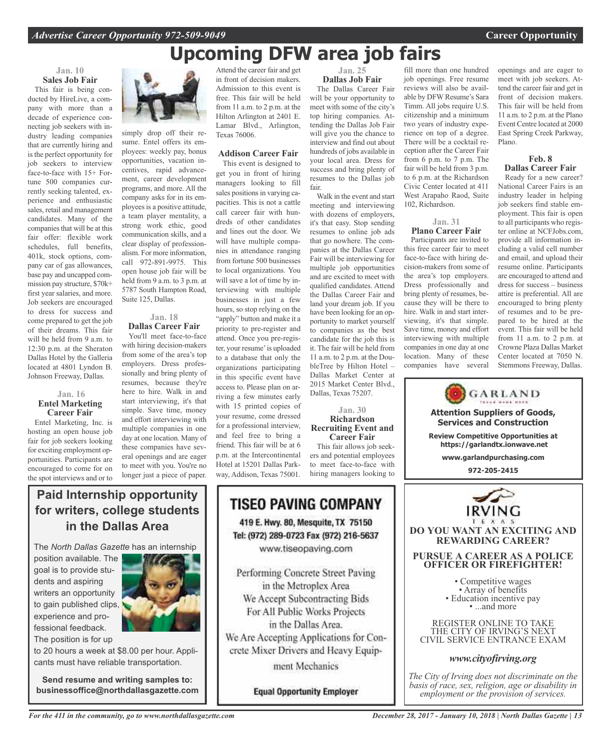### **Jan. 10 Sales Job Fair**

This fair is being conducted by HireLive, a company with more than a decade of experience connecting job seekers with industry leading companies that are currently hiring and is the perfect opportunity for job seekers to interview face-to-face with 15+ Fortune 500 companies currently seeking talented, experience and enthusiastic sales, retail and management candidates. Many of the companies that will be at this fair offer: flexible work schedules, full benefits, 401k, stock options, company car of gas allowances, base pay and uncapped commission pay structure, \$70k+ first year salaries, and more. Job seekers are encouraged to dress for success and come prepared to get the job of their dreams. This fair will be held from 9 a.m. to 12:30 p.m. at the Sheraton Dallas Hotel by the Galleria located at 4801 Lyndon B. Johnson Freeway, Dallas.

#### **Jan. 16 Entel Marketing Career Fair**

Entel Marketing, Inc. is hosting an open house job fair for job seekers looking for exciting employment opportunities. Participants are encouraged to come for on the spot interviews and or to



simply drop off their resume. Entel offers its employees: weekly pay, bonus opportunities, vacation incentives, rapid advancement, career development programs, and more. All the company asks for in its employees is a positive attitude, a team player mentality, a strong work ethic, good communication skills, and a clear display of professionalism. For more information, call 972-891-9975. This open house job fair will be held from 9 a.m. to 3 p.m. at 5787 South Hampton Road, Suite 125, Dallas.

### **Jan. 18 Dallas Career Fair**

You'll meet face-to-face with hiring decision-makers from some of the area's top employers. Dress professionally and bring plenty of resumes, because they're here to hire. Walk in and start interviewing, it's that simple. Save time, money and effort interviewing with multiple companies in one day at one location. Many of these companies have several openings and are eager to meet with you. You're no longer just a piece of paper.

Attend the career fair and get in front of decision makers. Admission to this event is free. This fair will be held from 11 a.m. to 2 p.m. at the Hilton Arlington at 2401 E. Lamar Blvd., Arlington, Texas 76006.

### **Addison Career Fair**

This event is designed to get you in front of hiring managers looking to fill sales positions in varying capacities. This is not a cattle call career fair with hundreds of other candidates and lines out the door. We will have multiple companies in attendance ranging from fortune 500 businesses to local organizations. You will save a lot of time by interviewing with multiple businesses in just a few hours, so stop relying on the "apply" button and make it a priority to pre-register and attend. Once you pre-register, your resume'is uploaded to a database that only the organizations participating in this specific event have access to. Please plan on arriving a few minutes early with 15 printed copies of your resume, come dressed for a professional interview, and feel free to bring a friend. This fair will be at 6 p.m. at the Intercontinental Hotel at 15201 Dallas Parkway, Addison, Texas 75001.

### **Jan. 25 Dallas Job Fair** The Dallas Career Fair will be your opportunity to meet with some of the city's top hiring companies. At-

tending the Dallas Job Fair will give you the chance to interview and find out about hundreds of jobs available in your local area. Dress for success and bring plenty of resumes to the Dallas job fair.

Walk in the event and start meeting and interviewing with dozens of employers, it's that easy. Stop sending resumes to online job ads that go nowhere. The companies at the Dallas Career Fair will be interviewing for multiple job opportunities and are excited to meet with qualified candidates. Attend the Dallas Career Fair and land your dream job. If you have been looking for an opportunity to market yourself to companies as the best candidate for the job this is it. The fair will be held from 11 a.m. to 2 p.m. at the DoubleTree by Hilton Hotel – Dallas Market Center at 2015 Market Center Blvd., Dallas, Texas 75207.

**Jan. 30 Richardson Recruiting Event and Career Fair** This fair allows job seekers and potential employees to meet face-to-face with hiring managers looking to

fill more than one hundred job openings. Free resume reviews will also be available by DFW Resume's Sara Timm. All jobs require U.S. citizenship and a minimum two years of industry experience on top of a degree. There will be a cocktail reception after the Career Fair from 6 p.m. to 7 p.m. The fair will be held from 3 p.m. to 6 p.m. at the Richardson Civic Center located at 411 West Arapaho Raod, Suite 102, Richardson.

### **Jan. 31**

**Plano Career Fair** Participants are invited to this free career fair to meet face-to-face with hiring decision-makers from some of the area's top employers. Dress professionally and bring plenty of resumes, because they will be there to hire. Walk in and start interviewing, it's that simple. Save time, money and effort interviewing with multiple companies in one day at one location. Many of these companies have several

openings and are eager to meet with job seekers. Attend the career fair and get in front of decision makers. This fair will be held from 11 a.m. to 2 p.m. at the Plano Event Centre located at 2000 East Spring Creek Parkway, Plano.

### **Feb. 8 Dallas Career Fair**

Ready for a new career? National Career Fairs is an industry leader in helping job seekers find stable employment. This fair is open to all participants who register online at NCFJobs.com, provide all information including a valid cell number and email, and upload their resume online. Participants are encouraged to attend and dress for success – business attire is preferential. All are encouraged to bring plenty of resumes and to be prepared to be hired at the event. This fair will be held from 11 a.m. to 2 p.m. at Crowne Plaza Dallas Market Center located at 7050 N. Stemmons Freeway, Dallas.

GARLAND **Attention Suppliers of Goods, Services and Construction Review Competitive Opportunities at https://garlandtx.ionwave.net www.garlandpurchasing.com 972-205-2415 DO YOU WANT AN EXCITING AND REWARDING CAREER? PURSUE A CAREER AS A POLICE OFFICER OR FIREFIGHTER!** • Competitive wages<br>• Array of benefits<br>• Education incentive pay<br>• ...and more REGISTER ONLINE TO TAKE THE CITY OF IRVING'S NEXT CIVIL SERVICE ENTRANCE EXAM

### *www.cityofirving.org*

*The City of Irving does not discriminate on the basis of race, sex, religion, age or disability in employment or the provision of services.*

### **Paid Internship opportunity for writers, college students in the Dallas Area**

The *North Dallas Gazette* has an internship

position available. The goal is to provide students and aspiring writers an opportunity to gain published clips, experience and professional feedback. The position is for up



to 20 hours a week at \$8.00 per hour. Applicants must have reliable transportation.

**Send resume and writing samples to: businessoffice@northdallasgazette.com**

## **TISEO PAVING COMPANY** 419 E. Hwy. 80, Mesquite, TX 75150 Tel: (972) 289-0723 Fax (972) 216-5637 www.tiseopaving.com

Performing Concrete Street Paving in the Metroplex Area We Accept Subcontracting Bids For All Public Works Projects in the Dallas Area. We Are Accepting Applications for Concrete Mixer Drivers and Heavy Equipment Mechanics

**Equal Opportunity Employer**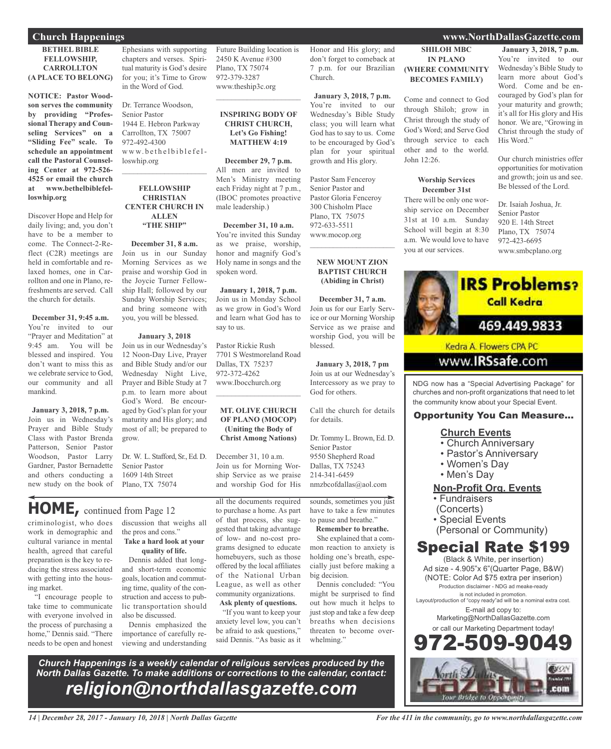### **BETHEL BIBLE FELLOWSHIP, CARROLLTON (A PLACE TO BELONG)**

**NOTICE: Pastor Woodson serves the community by providing "Professional Therapy and Counseling Services" on a "Sliding Fee" scale. To schedule an appointment call the Pastoral Counseling Center at 972-526- 4525 or email the church at www.bethelbiblefelloswhip.org**

Discover Hope and Help for daily living; and, you don't have to be a member to come. The Connect-2-Reflect (C2R) meetings are held in comfortable and relaxed homes, one in Carrollton and one in Plano, refreshments are served. Call the church for details.

**December 31, 9:45 a.m.** You're invited to our "Prayer and Meditation" at 9:45 am. You will be blessed and inspired. You don't want to miss this as we celebrate service to God, our community and all mankind.

**January 3, 2018, 7 p.m.** Join us in Wednesday's Prayer and Bible Study Class with Pastor Brenda Patterson, Senior Pastor Woodson, Pastor Larry Gardner, Pastor Bernadette and others conducting a new study on the book of

**HOME,** continued from Page <sup>12</sup>

criminologist, who does work in demographic and cultural variance in mental health, agreed that careful preparation is the key to reducing the stress associated with getting into the housing market.

"I encourage people to take time to communicate with everyone involved in the process of purchasing a home," Dennis said. "There needs to be open and honest

Ephesians with supporting chapters and verses. Spiritual maturity is God's desire for you; it's Time to Grow in the Word of God.

Dr. Terrance Woodson, Senior Pastor 1944 E. Hebron Parkway Carrollton, TX 75007 972-492-4300 www.bethelbiblefelloswhip.org

 $\mathcal{L}_\text{max}$  , which is a set of the set of the set of the set of the set of the set of the set of the set of the set of the set of the set of the set of the set of the set of the set of the set of the set of the set of

### **FELLOWSHIP CHRISTIAN CENTER CHURCH IN ALLEN "THE SHIP"**

**December 31, 8 a.m.** Join us in our Sunday Morning Services as we praise and worship God in the Joycie Turner Fellowship Hall; followed by our Sunday Worship Services; and bring someone with you, you will be blessed.

### **January 3, 2018**

Join us in our Wednesday's 12 Noon-Day Live, Prayer and Bible Study and/or our Wednesday Night Live, Prayer and Bible Study at 7 p.m. to learn more about God's Word. Be encouraged by God's plan for your maturity and His glory; and most of all; be prepared to grow.

Dr. W. L. Stafford, Sr., Ed. D. Senior Pastor 1609 14th Street Plano, TX 75074

### discussion that weighs all the pros and cons."

**Take a hard look at your quality of life.**

Dennis added that longand short-term economic goals, location and commuting time, quality of the construction and access to public transportation should also be discussed.

Dennis emphasized the importance of carefully reviewing and understanding Future Building location is 2450 K Avenue #300 Plano, TX 75074 972-379-3287 www.theship3c.org

### **INSPIRING BODY OF CHRIST CHURCH, Let's Go Fishing! MATTHEW 4:19**

 $\overline{\phantom{a}}$  , which is a set of the set of the set of the set of the set of the set of the set of the set of the set of the set of the set of the set of the set of the set of the set of the set of the set of the set of th

**December 29, 7 p.m.** All men are invited to Men's Ministry meeting each Friday night at 7 p.m., (IBOC promotes proactive male leadership.)

**December 31, 10 a.m.** You're invited this Sunday as we praise, worship, honor and magnify God's Holy name in songs and the spoken word.

**January 1, 2018, 7 p.m.** Join us in Monday School as we grow in God's Word and learn what God has to say to us.

Pastor Rickie Rush 7701 S Westmoreland Road Dallas, TX 75237 972-372-4262 www.Ibocchurch.org  $\overline{\phantom{a}}$  , which is a set of the set of the set of the set of the set of the set of the set of the set of the set of the set of the set of the set of the set of the set of the set of the set of the set of the set of th

#### **MT. OLIVE CHURCH OF PLANO (MOCOP) (Uniting the Body of Christ Among Nations)**

December 31, 10 a.m. Join us for Morning Worship Service as we praise and worship God for His

all the documents required to purchase a home. As part of that process, she suggested that taking advantage of low- and no-cost programs designed to educate homebuyers, such as those offered by the local affiliates of the National Urban League, as well as other community organizations. **Ask plenty of questions.**

"If you want to keep your anxiety level low, you can't be afraid to ask questions," said Dennis. "As basic as it

Honor and His glory; and don't forget to comeback at 7 p.m. for our Brazilian Church.

**January 3, 2018, 7 p.m.** You're invited to our Wednesday's Bible Study class; you will learn what God has to say to us. Come to be encouraged by God's plan for your spiritual growth and His glory.

Pastor Sam Fenceroy Senior Pastor and Pastor Gloria Fenceroy 300 Chisholm Place Plano, TX 75075 972-633-5511 www.mocop.org

#### **NEW MOUNT ZION BAPTIST CHURCH (Abiding in Christ)**

 $\overline{\phantom{a}}$  , and the set of the set of the set of the set of the set of the set of the set of the set of the set of the set of the set of the set of the set of the set of the set of the set of the set of the set of the s

**December 31, 7 a.m.** Join us for our Early Service or our Morning Worship Service as we praise and worship God, you will be blessed.

**January 3, 2018, 7 pm** Join us at our Wednesday's Intercessory as we pray to God for others.

Call the church for details for details.

Dr.Tommy L. Brown, Ed. D. Senior Pastor 9550 Shepherd Road Dallas, TX 75243 214-341-6459 nmzbcofdallas@aol.com

sounds, sometimes you just have to take a few minutes to pause and breathe."

**Remember to breathe.** She explained that a common reaction to anxiety is holding one's breath, especially just before making a

big decision. Dennis concluded: "You might be surprised to find out how much it helps to just stop and take a few deep breaths when decisions threaten to become overwhelming."

*Church Happenings is a weekly calendar of religious services produced by the North Dallas Gazette. To make additions or corrections to the calendar, contact: religion@northdallasgazette.com*

**SHILOH MBC IN PLANO (WHERE COMMUNITY**

Come and connect to God through Shiloh; grow in Christ through the study of God's Word; and Serve God through service to each other and to the world. John 12:26.

**BECOMES FAMILY)**

#### **Worship Services December 31st**

There will be only one worship service on December 31st at 10 a.m. Sunday School will begin at 8:30 a.m. We would love to have you at our services.

#### **January 3, 2018, 7 p.m.** You're invited to our Wednesday's Bible Study to learn more about God's Word. Come and be encouraged by God's plan for your maturity and growth; it's all for His glory and His honor. We are, "Growing in Christ through the study of His Word."

Our church ministries offer opportunities for motivation and growth; join us and see. Be blessed of the Lord.

Dr. Isaiah Joshua, Jr. Senior Pastor 920 E. 14th Street Plano, TX 75074 972-423-6695 www.smbcplano.org



NDG now has a "Special Advertising Package" for churches and non-profit organizations that need to let the community know about your Special Event.

### Opportunity You Can Measure...

### **Church Events**

- Church Anniversary
- Pastor's Anniversary
- Women's Day
- Men's Day

**Non-Profit Org. Events**

- Fundraisers
- (Concerts)
- Special Events
- (Personal or Community)

## Special Rate \$199

(Black & White, per insertion) Ad size - 4.905"x 6"(Quarter Page, B&W) (NOTE: Color Ad \$75 extra per inserion) Production disclaimer - NDG ad meake-ready is not included in promotion. Layout/production of "copy ready"ad will be a nominal extra cost. E-mail ad copy to: Marketing@NorthDallasGazette.com

or call our Marketing Department today!



*14 | December 28, 2017 - January 10, 2018 | North Dallas Gazette*

### **Church Happenings www.NorthDallasGazette.com**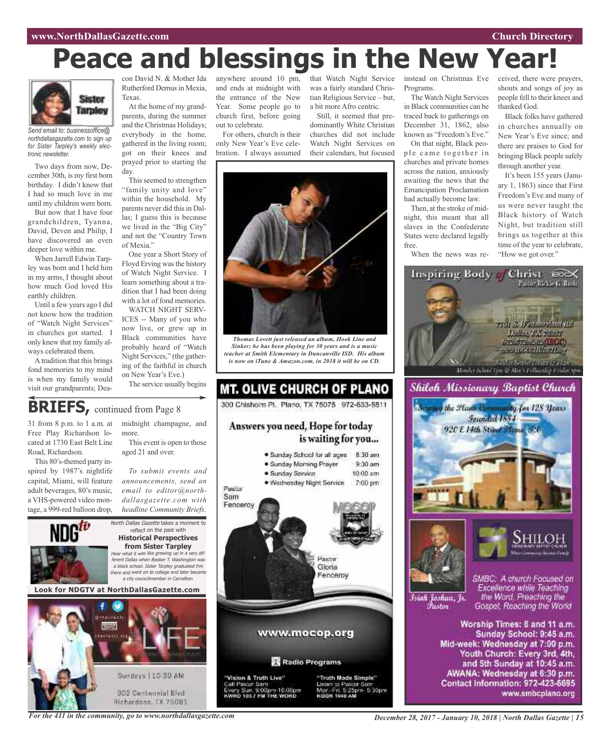# **Peace and blessings in the New Year!**



*Send email to: businessoffice@ northdallasgazette.com to sign up for Sister Tarpley's weekly electronic newsletter.*

Two days from now, December 30th, is my first born birthday. I didn't know that I had so much love in me until my children were born.

But now that I have four grandchildren, Tyanna, David, Deven and Philip, I have discovered an even deeper love within me.

When Jarrell Edwin Tarpley was born and I held him in my arms, I thought about how much God loved His earthly children.

Until a few years ago I did not know how the tradition of "Watch Night Services" in churches got started. I only knew that my family always celebrated them.

Atradition that this brings fond memories to my mind is when my family would visit our grandparents; DeaRutherford Demus in Mexia, Texas.

At the home of my grandparents, during the summer and the Christmas Holidays; everybody in the home, gathered in the living room; got on their knees and prayed prior to starting the day.

This seemed to strengthen "family unity and love" within the household. My parents never did this in Dallas; I guess this is because we lived in the "Big City" and not the "Country Town of Mexia."

One year a Short Story of Floyd Erving was the history of Watch Night Service. I learn something about a tradition that I had been doing with a lot of fond memories.

WATCH NIGHT SERV-ICES -- Many of you who now live, or grew up in Black communities have probably heard of "Watch Night Services," (the gathering of the faithful in church on New Year's Eve.)

The service usually begins

midnight champagne, and

con David N. & Mother Ida anywhere around 10 pm, that Watch Night Service and ends at midnight with the entrance of the New Year. Some people go to church first, before going out to celebrate.

For others, church is their only New Year's Eve celebration. I always assumed was a fairly standard Christian Religious Service – but, a bit more Afro centric.

Still, it seemed that predominantly White Christian churches did not include Watch Night Services on their calendars, but focused



*Thomas Lovett just released an album, Hook Line and Sinker; he has been playing for 30 years and is a music teacher at Smith Elementary in Duncanville ISD. His album is now on iTune & Amazon.com, in 2018 it will be on CD.*



### "Vision & Truth Live"<br>Call Pastor Sam<br>Every Sun, 9:00pm-10:00pm<br>KWRD 103.7 FM THE WORD "Vision & Truth Live"



instead on Christmas Eve Programs.

The Watch Night Services in Black communities can be traced back to gatherings on December 31, 1862, also known as "Freedom's Eve."

On that night, Black people came together in churches and private homes across the nation, anxiously awaiting the news that the Emancipation Proclamation had actually become law.

Then, at the stroke of midnight, this meant that all slaves in the Confederate States were declared legally free.

When the news was re-

Inspiring Body // Christ enX

ceived, there were prayers, shouts and songs of joy as people fell to their knees and thanked God.

Black folks have gathered in churches annually on New Year's Eve since; and there are praises to God for bringing Black people safely through another year.

It's been 155 years (January 1, 1863) since that First Freedom's Eve and many of us were never taught the Black history of Watch Night, but tradition still brings us together at this time of the year to celebrate, "How we got over."



AWANA: Wednesday at 6:30 p.m. Contact Information: 972-423-6695 www.smbcplano.org

## **BRIEFS**, continued from Page 8

31 from 8 p.m. to 1 a.m. at Free Play Richardson located at 1730 East Belt Line Road, Richardson.

spired by 1987's nightlife capital, Miami, will feature adult beverages, 80's music, a VHS-powered video montage, a 999-red balloon drop,

This 80's-themed party in-This event is open to those aged 21 and over.

more.

*To submit events and announcements, send an email to editor@northdallasgazette.com with headline Community Briefs.*

reflect on the past with



**from Sister Tarpley** Hear what it was like growing up in <sup>a</sup> very different Dallas when Booker T. Washington was <sup>a</sup> black school. Sister Tarpley graduated frm there and went on to college and later became <sup>a</sup> city councilmember in Carrollton. **Look for NDGTV at NorthDallasGazette.com**



*For the 411 in the community, go to www.northdallasgazette.com*